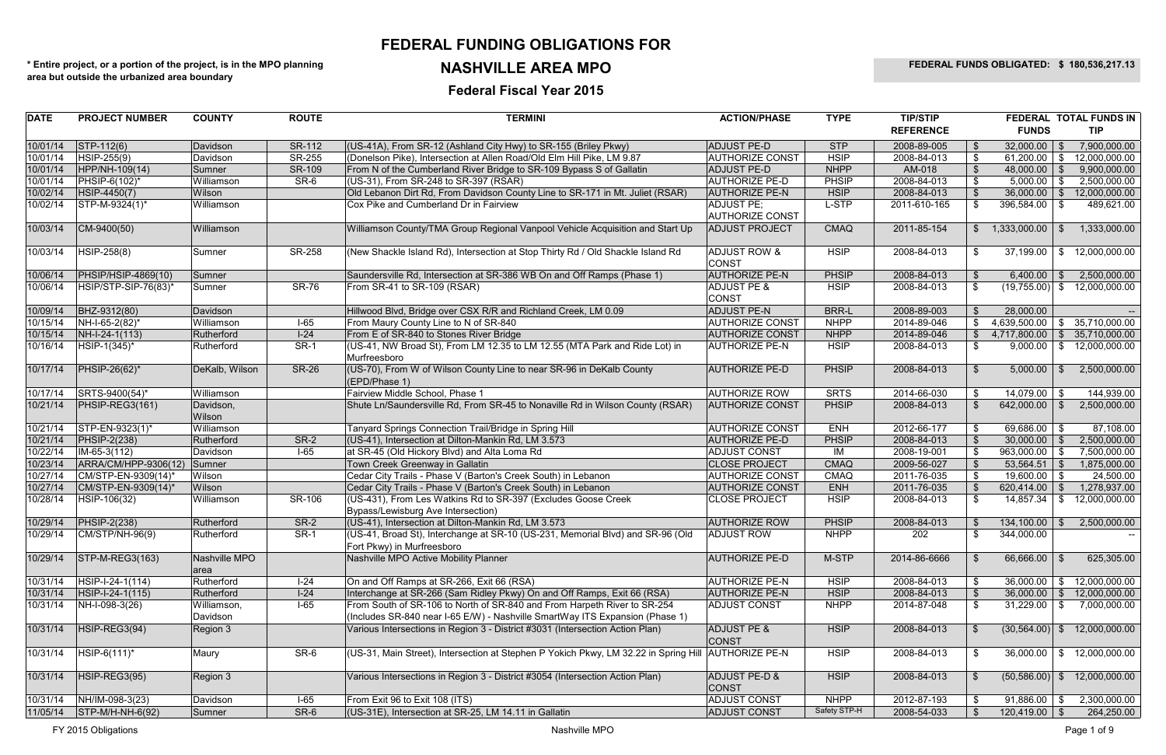# **FEDERAL FUNDING OBLIGATIONS FOR**

## **NASHVILLE AREA MPO**

### **FEDERAL FUNDS OBLIGATED: 180,536,217.13 \$**

### **Federal Fiscal Year 2015**

|          |                          |                              |               | <b>TERMINI</b>                                                                                               | <b>ACTION/PHASE</b>                      | <b>TYPE</b>  | <b>TIP/STIP</b>  |                |                   |                | FEDERAL TOTAL FUNDS IN          |
|----------|--------------------------|------------------------------|---------------|--------------------------------------------------------------------------------------------------------------|------------------------------------------|--------------|------------------|----------------|-------------------|----------------|---------------------------------|
|          |                          |                              |               |                                                                                                              |                                          |              | <b>REFERENCE</b> |                | <b>FUNDS</b>      |                | <b>TIP</b>                      |
| 10/01/14 | $ STP-112(6) $           | Davidson                     | SR-112        | (US-41A), From SR-12 (Ashland City Hwy) to SR-155 (Briley Pkwy)                                              | <b>ADJUST PE-D</b>                       | <b>STP</b>   | 2008-89-005      | \$.            | 32,000.00         | \$             | 7,900,000.00                    |
| 10/01/14 | HSIP-255(9)              | Davidson                     | SR-255        | (Donelson Pike), Intersection at Allen Road/Old Elm Hill Pike, LM 9.87                                       | <b>AUTHORIZE CONST</b>                   | <b>HSIP</b>  | 2008-84-013      |                | 61,200.00 \$      |                | 12,000,000.00                   |
| 10/01/14 | HPP/NH-109(14)           | Sumner                       | SR-109        | From N of the Cumberland River Bridge to SR-109 Bypass S of Gallatin                                         | <b>ADJUST PE-D</b>                       | <b>NHPP</b>  | AM-018           |                | 48,000.00         | $\mathfrak{S}$ | 9,900,000.00                    |
| 10/01/14 | PHSIP-6(102)*            | Williamson                   | SR-6          | (US-31), From SR-248 to SR-397 (RSAR)                                                                        | <b>AUTHORIZE PE-D</b>                    | <b>PHSIP</b> | 2008-84-013      | \$             | $5,000.00$ \$     |                | 2,500,000.00                    |
| 10/02/14 | HSIP-4450(7)             | Wilson                       |               | Old Lebanon Dirt Rd, From Davidson County Line to SR-171 in Mt. Juliet (RSAR)                                | <b>AUTHORIZE PE-N</b>                    | <b>HSIP</b>  | 2008-84-013      |                | $36,000.00$ \$    |                | 12,000,000.00                   |
| 10/02/14 | STP-M-9324(1)*           | Williamson                   |               | Cox Pike and Cumberland Dr in Fairview                                                                       | <b>ADJUST PE;</b>                        | L-STP        | 2011-610-165     | \$             | $396,584.00$ \$   |                | 489,621.00                      |
|          |                          |                              |               |                                                                                                              | <b>AUTHORIZE CONST</b>                   |              |                  |                |                   |                |                                 |
| 10/03/14 | $CM-9400(50)$            | Williamson                   |               | Williamson County/TMA Group Regional Vanpool Vehicle Acquisition and Start Up                                | <b>ADJUST PROJECT</b>                    | <b>CMAQ</b>  | 2011-85-154      | $\mathbb{S}$   | 1,333,000.00      | $\mathfrak{S}$ | 1,333,000.00                    |
| 10/03/14 | HSIP-258(8)              | Sumner                       | <b>SR-258</b> | (New Shackle Island Rd), Intersection at Stop Thirty Rd / Old Shackle Island Rd                              | <b>ADJUST ROW &amp;</b><br><b>CONST</b>  | <b>HSIP</b>  | 2008-84-013      | \$             | 37,199.00         | \$             | 12,000,000.00                   |
| 10/06/14 | PHSIP/HSIP-4869(10)      | Sumner                       |               | Saundersville Rd, Intersection at SR-386 WB On and Off Ramps (Phase 1)                                       | <b>AUTHORIZE PE-N</b>                    | <b>PHSIP</b> | 2008-84-013      | \$             | 6,400.00          | $\mathcal{L}$  | 2,500,000.00                    |
| 10/06/14 | HSIP/STP-SIP-76(83)*     | Sumner                       | <b>SR-76</b>  | From SR-41 to SR-109 (RSAR)                                                                                  | <b>ADJUST PE &amp;</b><br><b>CONST</b>   | <b>HSIP</b>  | 2008-84-013      | -\$            | $(19,755.00)$ \$  |                | 12,000,000.00                   |
| 10/09/14 | BHZ-9312(80)             | Davidson                     |               | Hillwood Blvd, Bridge over CSX R/R and Richland Creek, LM 0.09                                               | <b>ADJUST PE-N</b>                       | <b>BRR-L</b> | 2008-89-003      |                | 28,000.00         |                |                                 |
| 10/15/14 | NH-I-65-2(82)*           | Williamson                   | $I-65$        | From Maury County Line to N of SR-840                                                                        | <b>AUTHORIZE CONST</b>                   | <b>NHPP</b>  | 2014-89-046      |                |                   |                | $4,639,500.00$ \$ 35,710,000.00 |
| 10/15/14 | $NH-I-24-1(113)$         | Rutherford                   | $I-24$        | From E of SR-840 to Stones River Bridge                                                                      | <b>AUTHORIZE CONST</b>                   | <b>NHPP</b>  | 2014-89-046      |                | 4,717,800.00      | $\frac{1}{2}$  | 35,710,000.00                   |
| 10/16/14 | $HSIP-1(345)^*$          | Rutherford                   | <b>SR-1</b>   | (US-41, NW Broad St), From LM 12.35 to LM 12.55 (MTA Park and Ride Lot) in<br>Murfreesboro                   | <b>AUTHORIZE PE-N</b>                    | <b>HSIP</b>  | 2008-84-013      | \$.            | 9,000.00          | $\mathfrak{S}$ | 12,000,000.00                   |
| 10/17/14 | PHSIP-26(62)*            | DeKalb, Wilson               | <b>SR-26</b>  | (US-70), From W of Wilson County Line to near SR-96 in DeKalb County<br>(EPD/Phase 1)                        | <b>AUTHORIZE PE-D</b>                    | <b>PHSIP</b> | 2008-84-013      | $\mathfrak{L}$ | 5,000.00          | \$             | 2,500,000.00                    |
| 10/17/14 | SRTS-9400(54)*           | Williamson                   |               | Fairview Middle School, Phase 1                                                                              | <b>AUTHORIZE ROW</b>                     | <b>SRTS</b>  | 2014-66-030      |                | $14,079.00$ \$    |                | 144,939.00                      |
| 10/21/14 | PHSIP-REG3(161)          | Davidson,<br>Wilson          |               | Shute Ln/Saundersville Rd, From SR-45 to Nonaville Rd in Wilson County (RSAR)                                | <b>AUTHORIZE CONST</b>                   | <b>PHSIP</b> | 2008-84-013      |                | 642,000.00 \\$    |                | 2,500,000.00                    |
| 10/21/14 | STP-EN-9323(1)*          | Williamson                   |               | Tanyard Springs Connection Trail/Bridge in Spring Hill                                                       | <b>AUTHORIZE CONST</b>                   | <b>ENH</b>   | 2012-66-177      |                | 69,686.00 \\$     |                | 87,108.00                       |
| 10/21/14 | <b>PHSIP-2(238)</b>      | Rutherford                   | SR-2          | (US-41), Intersection at Dilton-Mankin Rd, LM 3.573                                                          | <b>AUTHORIZE PE-D</b>                    | <b>PHSIP</b> | 2008-84-013      |                | 30,000.00         | $\mathfrak{S}$ | 2,500,000.00                    |
| 10/22/14 | IM-65-3(112)             | Davidson                     | $I-65$        | at SR-45 (Old Hickory Blvd) and Alta Loma Rd                                                                 | <b>ADJUST CONST</b>                      | IM           | 2008-19-001      |                | 963,000.00        | -\$            | 7,500,000.00                    |
| 10/23/14 | ARRA/CM/HPP-9306(12)     | Sumner                       |               | Town Creek Greenway in Gallatin                                                                              | <b>CLOSE PROJECT</b>                     | <b>CMAQ</b>  | 2009-56-027      |                | $53,564.51$ \$    |                | 1,875,000.00                    |
| 10/27/14 | CM/STP-EN-9309(14)*      | Wilson                       |               | Cedar City Trails - Phase V (Barton's Creek South) in Lebanon                                                | <b>AUTHORIZE CONST</b>                   | <b>CMAQ</b>  | 2011-76-035      |                | $19,600.00$ \$    |                | 24,500.00                       |
| 10/27/14 | CM/STP-EN-9309(14)*      | Wilson                       |               | Cedar City Trails - Phase V (Barton's Creek South) in Lebanon                                                | <b>AUTHORIZE CONST</b>                   | <b>ENH</b>   | 2011-76-035      |                | 620,414.00        | \$             | 1,278,937.00                    |
| 10/28/14 | HSIP-106(32)             | Williamson                   | SR-106        | (US-431), From Les Watkins Rd to SR-397 (Excludes Goose Creek<br>Bypass/Lewisburg Ave Intersection)          | <b>CLOSE PROJECT</b>                     | <b>HSIP</b>  | 2008-84-013      |                | 14,857.34         | \$             | 12,000,000.00                   |
| 10/29/14 | <b>PHSIP-2(238)</b>      | Rutherford                   | SR-2          | (US-41), Intersection at Dilton-Mankin Rd, LM 3.573                                                          | <b>AUTHORIZE ROW</b>                     | <b>PHSIP</b> | 2008-84-013      |                | 134,100.00        | $\mathfrak{S}$ | 2,500,000.00                    |
| 10/29/14 | $ CM/STP/NH-96(9) $      | Rutherford                   | SR-1          | (US-41, Broad St), Interchange at SR-10 (US-231, Memorial Blvd) and SR-96 (Old<br>Fort Pkwy) in Murfreesboro | <b>ADJUST ROW</b>                        | <b>NHPP</b>  | 202              |                | 344,000.00        |                |                                 |
| 10/29/14 | STP-M-REG3(163)          | Nashville MPO<br><b>area</b> |               | Nashville MPO Active Mobility Planner                                                                        | <b>AUTHORIZE PE-D</b>                    | M-STP        | 2014-86-6666     | \$             | $66,666.00$ \$    |                | 625,305.00                      |
| 10/31/14 | HSIP-I-24-1(114)         | Rutherford                   | $I-24$        | On and Off Ramps at SR-266, Exit 66 (RSA)                                                                    | <b>AUTHORIZE PE-N</b>                    | <b>HSIP</b>  | 2008-84-013      |                |                   |                | $36,000.00$ \$ 12,000,000.00    |
| 10/31/14 | HSIP-I-24-1(115)         | Rutherford                   | $I-24$        | Interchange at SR-266 (Sam Ridley Pkwy) On and Off Ramps, Exit 66 (RSA)                                      | <b>AUTHORIZE PE-N</b>                    | <b>HSIP</b>  | 2008-84-013      |                | $36,000.00$ \$    |                | 12,000,000.00                   |
| 10/31/14 | NH-I-098-3(26)           | Williamson,                  | $I-65$        | From South of SR-106 to North of SR-840 and From Harpeth River to SR-254                                     | <b>ADJUST CONST</b>                      | <b>NHPP</b>  | 2014-87-048      | -\$            | $31,229.00$ \$    |                | 7,000,000.00                    |
|          |                          | Davidson                     |               | (Includes SR-840 near I-65 E/W) - Nashville SmartWay ITS Expansion (Phase 1)                                 |                                          |              |                  |                |                   |                |                                 |
| 10/31/14 | HSIP-REG3(94)            | Region 3                     |               | Various Intersections in Region 3 - District #3031 (Intersection Action Plan)                                | <b>ADJUST PE &amp;</b><br><b>CONST</b>   | <b>HSIP</b>  | 2008-84-013      | -\$            | $(30, 564.00)$ \$ |                | 12,000,000.00                   |
| 10/31/14 | HSIP-6(111)*             | Maury                        | SR-6          | (US-31, Main Street), Intersection at Stephen P Yokich Pkwy, LM 32.22 in Spring Hill                         | <b>AUTHORIZE PE-N</b>                    | <b>HSIP</b>  | 2008-84-013      | \$             |                   |                | $36,000.00$ \$ 12,000,000.00    |
| 10/31/14 | HSIP-REG3(95)            | Region 3                     |               | Various Intersections in Region 3 - District #3054 (Intersection Action Plan)                                | <b>ADJUST PE-D &amp;</b><br><b>CONST</b> | <b>HSIP</b>  | 2008-84-013      | -\$            | $(50, 586.00)$ \$ |                | 12,000,000.00                   |
| 10/31/14 | NH/IM-098-3(23)          | Davidson                     | $I-65$        | From Exit 96 to Exit 108 (ITS)                                                                               | <b>ADJUST CONST</b>                      | <b>NHPP</b>  | 2012-87-193      |                | $91,886.00$ \$    |                | 2,300,000.00                    |
| 11/05/14 | $\vert$ STP-M/H-NH-6(92) | Sumner                       | SR-6          | (US-31E), Intersection at SR-25, LM 14.11 in Gallatin                                                        | <b>ADJUST CONST</b>                      | Safety STP-H | 2008-54-033      | \$             | $120,419.00$ \$   |                | 264,250.00                      |

#### **\* Entire project, or a portion of the project, is in the MPO planning area but outside the urbanized area boundary**

FY 2015 Obligations Nashville MPO Page 1 of 9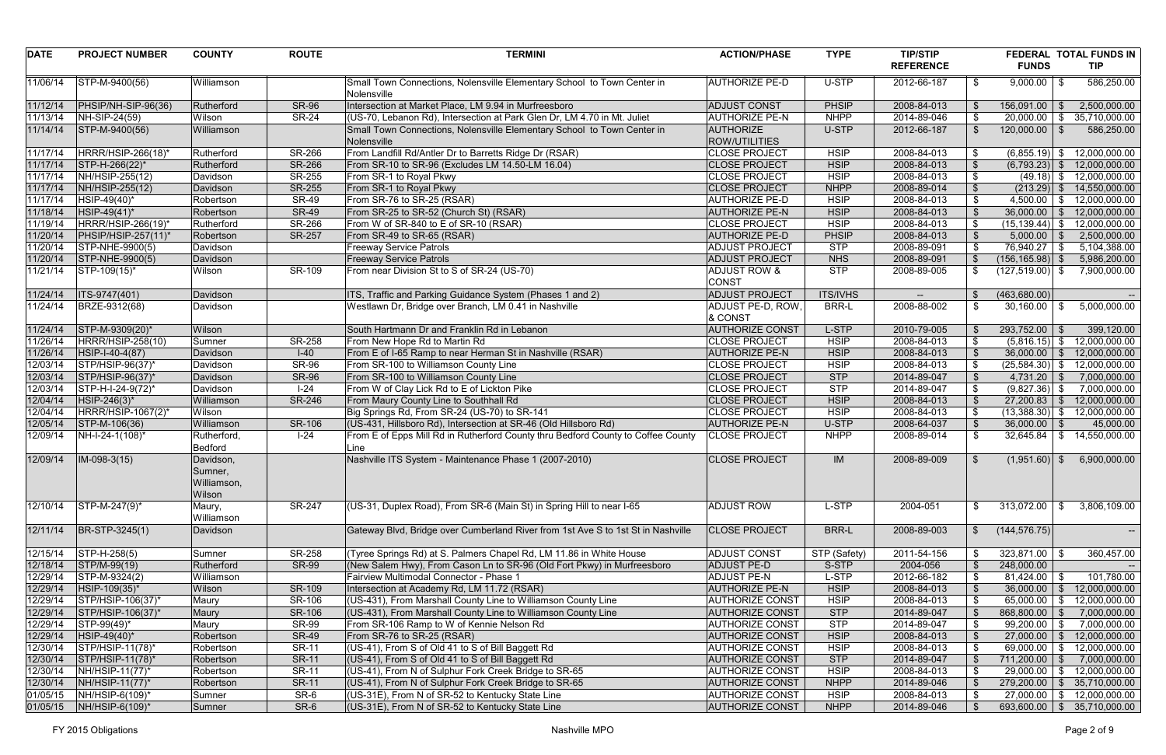| <b>DATE</b> | <b>PROJECT NUMBER</b>                        | <b>COUNTY</b>                                 | <b>ROUTE</b>  | <b>TERMINI</b>                                                                           | <b>ACTION/PHASE</b>                     | <b>TYPE</b>     | <b>TIP/STIP</b>  |                           |                             | FEDERAL TOTAL FUNDS IN |
|-------------|----------------------------------------------|-----------------------------------------------|---------------|------------------------------------------------------------------------------------------|-----------------------------------------|-----------------|------------------|---------------------------|-----------------------------|------------------------|
|             |                                              |                                               |               |                                                                                          |                                         |                 | <b>REFERENCE</b> |                           | <b>FUNDS</b>                | <b>TIP</b>             |
| 11/06/14    | STP-M-9400(56)                               | Williamson                                    |               | Small Town Connections, Nolensville Elementary School to Town Center in<br>Nolensville   | <b>AUTHORIZE PE-D</b>                   | U-STP           | 2012-66-187      | -\$                       | $9,000.00$ \$               | 586,250.00             |
| 11/12/14    | PHSIP/NH-SIP-96(36)                          | Rutherford                                    | <b>SR-96</b>  | Intersection at Market Place, LM 9.94 in Murfreesboro                                    | <b>ADJUST CONST</b>                     | <b>PHSIP</b>    | 2008-84-013      |                           | $156,091.00$ \$             | 2,500,000.00           |
| 11/13/14    | NH-SIP-24(59)                                | Wilson                                        | <b>SR-24</b>  | (US-70, Lebanon Rd), Intersection at Park Glen Dr, LM 4.70 in Mt. Juliet                 | <b>AUTHORIZE PE-N</b>                   | <b>NHPP</b>     | 2014-89-046      | - \$                      | $20,000.00$ \$              | 35,710,000.00          |
| 11/14/14    | STP-M-9400(56)                               | Williamson                                    |               | Small Town Connections, Nolensville Elementary School to Town Center in                  | <b>AUTHORIZE</b>                        | U-STP           | 2012-66-187      | -\$                       | 120,000.00<br>- \$          | 586,250.00             |
|             |                                              |                                               |               | Nolensville                                                                              | <b>ROW/UTILITIES</b>                    |                 |                  |                           |                             |                        |
| 11/17/14    | HRRR/HSIP-266(18)*                           | Rutherford                                    | SR-266        | From Landfill Rd/Antler Dr to Barretts Ridge Dr (RSAR)                                   | <b>CLOSE PROJECT</b>                    | <b>HSIP</b>     | 2008-84-013      | \$                        | $(6,855.19)$ \$             | 12,000,000.00          |
| 11/17/14    | STP-H-266(22)*                               | Rutherford                                    | <b>SR-266</b> | From SR-10 to SR-96 (Excludes LM 14.50-LM 16.04)                                         | <b>CLOSE PROJECT</b>                    | <b>HSIP</b>     | 2008-84-013      | $\sqrt{3}$                | $(6,793.23)$ \$             | 12,000,000.00          |
| 11/17/14    | NH/HSIP-255(12)                              | Davidson                                      | SR-255        | From SR-1 to Royal Pkwy                                                                  | <b>CLOSE PROJECT</b>                    | <b>HSIP</b>     | 2008-84-013      | -\$                       | $(49.18)$ \$                | 12,000,000.00          |
| 11/17/14    | NH/HSIP-255(12)                              | Davidson                                      | <b>SR-255</b> | From SR-1 to Royal Pkwy                                                                  | <b>CLOSE PROJECT</b>                    | <b>NHPP</b>     | 2008-89-014      | $\sqrt[6]{3}$             | $(213.29)$ \$               | 14,550,000.00          |
| 11/17/14    | HSIP-49(40)*                                 | Robertson                                     | <b>SR-49</b>  | From SR-76 to SR-25 (RSAR)                                                               | <b>AUTHORIZE PE-D</b>                   | <b>HSIP</b>     | 2008-84-013      | $\boldsymbol{\mathsf{S}}$ | $4,500.00$ \$               | 12,000,000.00          |
| 11/18/14    | $ HSIP-49(41)*$                              | Robertson                                     | <b>SR-49</b>  | From SR-25 to SR-52 (Church St) (RSAR)                                                   | <b>AUTHORIZE PE-N</b>                   | <b>HSIP</b>     | 2008-84-013      |                           | $36,000.00$ \$              | 12,000,000.00          |
| 11/19/14    | HRRR/HSIP-266(19)*                           | Rutherford                                    | SR-266        | From W of SR-840 to E of SR-10 (RSAR)                                                    | <b>CLOSE PROJECT</b>                    | <b>HSIP</b>     | 2008-84-013      |                           | $(15, 139.44)$ \$           | 12,000,000.00          |
| 11/20/14    | PHSIP/HSIP-257(11)*                          | Robertson                                     | <b>SR-257</b> | From SR-49 to SR-65 (RSAR)                                                               | <b>AUTHORIZE PE-D</b>                   | <b>PHSIP</b>    | 2008-84-013      |                           | $5,000.00$ \$               | 2,500,000.00           |
| 11/20/14    | STP-NHE-9900(5)                              | Davidson                                      |               | <b>Freeway Service Patrols</b>                                                           | <b>ADJUST PROJECT</b>                   | <b>STP</b>      | 2008-89-091      |                           | 76,940.27 \$                | 5,104,388.00           |
| 11/20/14    | STP-NHE-9900(5)                              | Davidson                                      |               | <b>Freeway Service Patrols</b>                                                           | <b>ADJUST PROJECT</b>                   | <b>NHS</b>      | 2008-89-091      |                           | $(156, 165.98)$ \$          | 5,986,200.00           |
| 11/21/14    | STP-109(15)*                                 | Wilson                                        | SR-109        | From near Division St to S of SR-24 (US-70)                                              | <b>ADJUST ROW &amp;</b><br><b>CONST</b> | <b>STP</b>      | 2008-89-005      |                           | $(127, 519.00)$ \$          | 7,900,000.00           |
| 11/24/14    | ITS-9747(401)                                | Davidson                                      |               | ITS, Traffic and Parking Guidance System (Phases 1 and 2)                                | <b>ADJUST PROJECT</b>                   | <b>ITS/IVHS</b> | $\overline{a}$   | -\$                       | (463, 680.00)               |                        |
| 11/24/14    | BRZE-9312(68)                                | Davidson                                      |               | Westlawn Dr, Bridge over Branch, LM 0.41 in Nashville                                    | ADJUST PE-D, ROW<br>& CONST             | <b>BRR-L</b>    | 2008-88-002      | -\$                       | 30,160.00<br>- SS           | 5,000,000.00           |
| 11/24/14    | STP-M-9309(20)*                              | Wilson                                        |               | South Hartmann Dr and Franklin Rd in Lebanon                                             | <b>AUTHORIZE CONST</b>                  | L-STP           | 2010-79-005      |                           | $293,752.00$ \$             | 399,120.00             |
| 11/26/14    | <b>HRRR/HSIP-258(10)</b>                     | Sumner                                        | <b>SR-258</b> | From New Hope Rd to Martin Rd                                                            | <b>CLOSE PROJECT</b>                    | <b>HSIP</b>     | 2008-84-013      | -\$                       | $(5,816.15)$ \$             | 12,000,000.00          |
| 11/26/14    | HSIP-I-40-4(87)                              | Davidson                                      | $I-40$        | From E of I-65 Ramp to near Herman St in Nashville (RSAR)                                | <b>AUTHORIZE PE-N</b>                   | <b>HSIP</b>     | 2008-84-013      | ්                         | $36,000.00$ \$              | 12,000,000.00          |
| 12/03/14    | STP/HSIP-96(37)*                             | Davidson                                      | <b>SR-96</b>  | From SR-100 to Williamson County Line                                                    | <b>CLOSE PROJECT</b>                    | <b>HSIP</b>     | 2008-84-013      |                           | $(25,584.30)$ \$            | 12,000,000.00          |
| 12/03/14    | STP/HSIP-96(37)*                             | Davidson                                      | <b>SR-96</b>  | From SR-100 to Williamson County Line                                                    | <b>CLOSE PROJECT</b>                    | <b>STP</b>      | 2014-89-047      | - \$                      | $4,731.20$ \$               | 7,000,000.00           |
| 12/03/14    | STP-H-I-24-9(72)*                            | Davidson                                      | $I-24$        | From W of Clay Lick Rd to E of Lickton Pike                                              | <b>CLOSE PROJECT</b>                    | <b>STP</b>      | 2014-89-047      | -\$                       | $(9,827.36)$ \$             | 7,000,000.00           |
| 12/04/14    | $ HSIP-246(3)*$                              | Williamson                                    | <b>SR-246</b> | From Maury County Line to Southhall Rd                                                   | <b>CLOSE PROJECT</b>                    | <b>HSIP</b>     | 2008-84-013      |                           | $27,200.83$ \$              | 12,000,000.00          |
| 12/04/14    | HRRR/HSIP-1067(2)*                           | Wilson                                        |               | Big Springs Rd, From SR-24 (US-70) to SR-141                                             | <b>CLOSE PROJECT</b>                    | <b>HSIP</b>     | 2008-84-013      |                           | $(13,388.30)$ \$            | 12,000,000.00          |
| 12/05/14    | STP-M-106(36)                                | Williamson                                    | SR-106        | (US-431, Hillsboro Rd), Intersection at SR-46 (Old Hillsboro Rd)                         | <b>AUTHORIZE PE-N</b>                   | U-STP           | 2008-64-037      |                           | $36,000.00$ \$              | 45,000.00              |
| 12/09/14    | NH-I-24-1(108)*                              | Rutherford,<br><b>Bedford</b>                 | $I-24$        | From E of Epps Mill Rd in Rutherford County thru Bedford County to Coffee County<br>Line | <b>CLOSE PROJECT</b>                    | <b>NHPP</b>     | 2008-89-014      |                           | 32,645.84<br>\$             | 14,550,000.00          |
| 12/09/14    | $ IM-098-3(15) $                             | Davidson,<br>Sumner,<br>Williamson,<br>Wilson |               | Nashville ITS System - Maintenance Phase 1 (2007-2010)                                   | <b>CLOSE PROJECT</b>                    | IM              | 2008-89-009      | - \$                      | $(1,951.60)$ \$             | 6,900,000.00           |
| 12/10/14    | STP-M-247(9)*                                | Maury,<br>Williamson                          | <b>SR-247</b> | (US-31, Duplex Road), From SR-6 (Main St) in Spring Hill to near I-65                    | <b>ADJUST ROW</b>                       | L-STP           | 2004-051         | -\$                       | $313,072.00$ \$             | 3,806,109.00           |
| 12/11/14    | BR-STP-3245(1)                               | Davidson                                      |               | Gateway Blvd, Bridge over Cumberland River from 1st Ave S to 1st St in Nashville         | <b>CLOSE PROJECT</b>                    | <b>BRR-L</b>    | 2008-89-003      | -\$                       | (144, 576.75)               | $--$                   |
| 12/15/14    | STP-H-258(5)                                 | Sumner                                        | SR-258        | (Tyree Springs Rd) at S. Palmers Chapel Rd, LM 11.86 in White House                      | <b>ADJUST CONST</b>                     | STP (Safety)    | 2011-54-156      |                           | $323,871.00$ \$             | 360,457.00             |
| 12/18/14    | STP/M-99(19)                                 | Rutherford                                    | <b>SR-99</b>  | (New Salem Hwy), From Cason Ln to SR-96 (Old Fort Pkwy) in Murfreesboro                  | <b>ADJUST PE-D</b>                      | S-STP           | 2004-056         |                           | 248,000.00                  |                        |
| 12/29/14    | STP-M-9324(2)                                | Williamson                                    |               | Fairview Multimodal Connector - Phase 1                                                  | <b>ADJUST PE-N</b>                      | L-STP           | 2012-66-182      |                           | $81,424.00$ \$              | 101,780.00             |
| 12/29/14    | HSIP-109(35)*                                | Wilson                                        | <b>SR-109</b> | Intersection at Academy Rd, LM 11.72 (RSAR)                                              | <b>AUTHORIZE PE-N</b>                   | <b>HSIP</b>     | 2008-84-013      |                           | $36,000.00$ \$              | 12,000,000.00          |
| 12/29/14    | STP/HSIP-106(37)*                            | Maury                                         | SR-106        | (US-431), From Marshall County Line to Williamson County Line                            | <b>AUTHORIZE CONST</b>                  | <b>HSIP</b>     | 2008-84-013      |                           | 65,000.00 $\frac{1}{9}$     | 12,000,000.00          |
| 12/29/14    | STP/HSIP-106(37)*                            | Maury                                         | SR-106        | (US-431), From Marshall County Line to Williamson County Line                            | <b>AUTHORIZE CONST</b>                  | <b>STP</b>      | 2014-89-047      |                           | 868,800.00 \$               | 7,000,000.00           |
| 12/29/14    | STP-99(49)*                                  | Maury                                         | <b>SR-99</b>  | From SR-106 Ramp to W of Kennie Nelson Rd                                                | <b>AUTHORIZE CONST</b>                  | <b>STP</b>      | 2014-89-047      |                           | $99,200.00$ \$              | 7,000,000.00           |
| 12/29/14    | $ HSIP-49(40)*$                              | Robertson                                     | <b>SR-49</b>  | From SR-76 to SR-25 (RSAR)                                                               | <b>AUTHORIZE CONST</b>                  | <b>HSIP</b>     | 2008-84-013      |                           | $27,000.00$ \$              | 12,000,000.00          |
| 12/30/14    | $\left \right.$ STP/HSIP-11(78) <sup>*</sup> | Robertson                                     | <b>SR-11</b>  | (US-41), From S of Old 41 to S of Bill Baggett Rd                                        | <b>AUTHORIZE CONST</b>                  | <b>HSIP</b>     | 2008-84-013      |                           | 69,000.00 \$                | 12,000,000.00          |
| 12/30/14    | STP/HSIP-11(78)*                             | Robertson                                     | <b>SR-11</b>  | (US-41), From S of Old 41 to S of Bill Baggett Rd                                        | <b>AUTHORIZE CONST</b>                  | <b>STP</b>      | 2014-89-047      |                           | $711,200.00$ \$             | 7,000,000.00           |
| 12/30/14    | NH/HSIP-11(77)*                              | Robertson                                     | <b>SR-11</b>  | (US-41), From N of Sulphur Fork Creek Bridge to SR-65                                    | <b>AUTHORIZE CONST</b>                  | <b>HSIP</b>     | 2008-84-013      |                           | $29,000.00$ \$              | 12,000,000.00          |
| 12/30/14    | NH/HSIP-11(77)*                              | Robertson                                     | <b>SR-11</b>  | (US-41), From N of Sulphur Fork Creek Bridge to SR-65                                    | <b>AUTHORIZE CONST</b>                  | <b>NHPP</b>     | 2014-89-046      |                           | $279,200.00$ \$             | 35,710,000.00          |
| 01/05/15    | NH/HSIP-6(109)*                              | Sumner                                        | SR-6          | (US-31E), From N of SR-52 to Kentucky State Line                                         | <b>AUTHORIZE CONST</b>                  | <b>HSIP</b>     | 2008-84-013      |                           | $27,000.00$ \$              | 12,000,000.00          |
| 01/05/15    | $\vert$ NH/HSIP-6(109)*                      | Sumner                                        | SR-6          | (US-31E), From N of SR-52 to Kentucky State Line                                         | <b>AUTHORIZE CONST</b>                  | <b>NHPP</b>     | 2014-89-046      |                           | 693,600.00 \$ 35,710,000.00 |                        |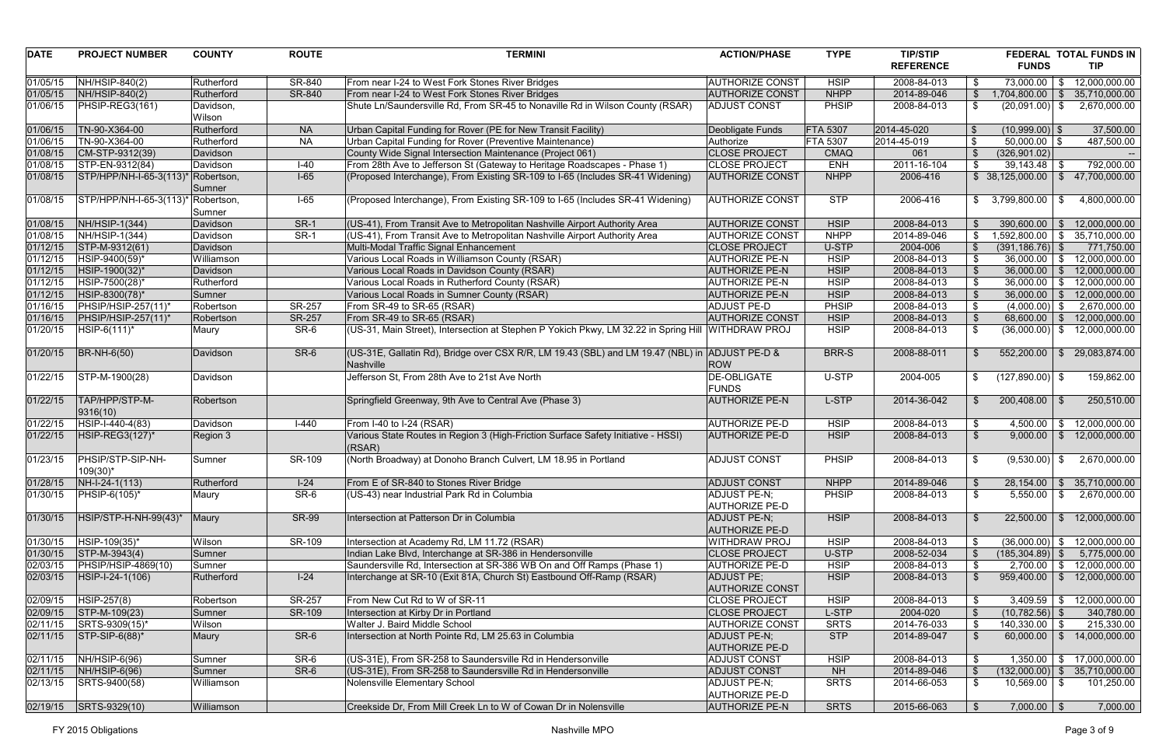| <b>DATE</b> | <b>PROJECT NUMBER</b>            | <b>COUNTY</b>        | <b>ROUTE</b>  | <b>TERMINI</b>                                                                                                            | <b>ACTION/PHASE</b>                   | <b>TYPE</b>     | <b>TIP/STIP</b>  |      |                                 |     | <b>FEDERAL TOTAL FUNDS IN</b> |
|-------------|----------------------------------|----------------------|---------------|---------------------------------------------------------------------------------------------------------------------------|---------------------------------------|-----------------|------------------|------|---------------------------------|-----|-------------------------------|
|             |                                  |                      |               |                                                                                                                           |                                       |                 | <b>REFERENCE</b> |      | <b>FUNDS</b>                    |     | <b>TIP</b>                    |
| 01/05/15    | NH/HSIP-840(2)                   | Rutherford           | SR-840        | From near I-24 to West Fork Stones River Bridges                                                                          | <b>AUTHORIZE CONST</b>                | <b>HSIP</b>     | 2008-84-013      |      | $73,000.00$ \$                  |     | 12,000,000.00                 |
| 01/05/15    | $NH/HSIP-840(2)$                 | Rutherford           | SR-840        | From near I-24 to West Fork Stones River Bridges                                                                          | <b>AUTHORIZE CONST</b>                | <b>NHPP</b>     | 2014-89-046      |      | $1,704,800.00$ \ \$             |     | 35,710,000.00                 |
| 01/06/15    | PHSIP-REG3(161)                  | Davidson,<br>Wilson  |               | Shute Ln/Saundersville Rd, From SR-45 to Nonaville Rd in Wilson County (RSAR)                                             | <b>ADJUST CONST</b>                   | <b>PHSIP</b>    | 2008-84-013      |      | $(20,091.00)$ \$                |     | 2,670,000.00                  |
| 01/06/15    | TN-90-X364-00                    | Rutherford           | <b>NA</b>     | Urban Capital Funding for Rover (PE for New Transit Facility)                                                             | Deobligate Funds                      | <b>FTA 5307</b> | 2014-45-020      | -\$  | $(10,999.00)$ \$                |     | 37,500.00                     |
| 01/06/15    | TN-90-X364-00                    | Rutherford           | <b>NA</b>     | Urban Capital Funding for Rover (Preventive Maintenance)                                                                  | Authorize                             | <b>FTA 5307</b> | 2014-45-019      | -\$  | $50,000.00$ \\$                 |     | 487,500.00                    |
| 01/08/15    | CM-STP-9312(39)                  | Davidson             |               | County Wide Signal Intersection Maintenance (Project 061)                                                                 | <b>CLOSE PROJECT</b>                  | <b>CMAQ</b>     | 061              | -\$  | (326, 901.02)                   |     |                               |
| 01/08/15    | STP-EN-9312(84)                  | Davidson             | $I-40$        | From 28th Ave to Jefferson St (Gateway to Heritage Roadscapes - Phase 1)                                                  | <b>CLOSE PROJECT</b>                  | <b>ENH</b>      | 2011-16-104      | -\$  | $39,143.48$ \$                  |     | 792,000.00                    |
| 01/08/15    | STP/HPP/NH-I-65-3(113)*          | Robertson,           | $I-65$        | (Proposed Interchange), From Existing SR-109 to I-65 (Includes SR-41 Widening)                                            | <b>AUTHORIZE CONST</b>                | <b>NHPP</b>     | 2006-416         |      | \$38,125,000.00                 | - S | 47,700,000.00                 |
|             |                                  | Sumner               |               |                                                                                                                           |                                       |                 |                  |      |                                 |     |                               |
| 01/08/15    | STP/HPP/NH-I-65-3(113)*          | Robertson,<br>Sumner | $I-65$        | (Proposed Interchange), From Existing SR-109 to I-65 (Includes SR-41 Widening)                                            | <b>AUTHORIZE CONST</b>                | <b>STP</b>      | 2006-416         |      | $3,799,800.00$ \$               |     | 4,800,000.00                  |
| 01/08/15    | $NH/HSIP-1(344)$                 | Davidson             | <b>SR-1</b>   | (US-41), From Transit Ave to Metropolitan Nashville Airport Authority Area                                                | <b>AUTHORIZE CONST</b>                | <b>HSIP</b>     | 2008-84-013      |      | $390,600.00$ \$                 |     | 12,000,000.00                 |
| 01/08/15    | NH/HSIP-1(344)                   | Davidson             | SR-1          | (US-41), From Transit Ave to Metropolitan Nashville Airport Authority Area                                                | <b>AUTHORIZE CONST</b>                | <b>NHPP</b>     | 2014-89-046      |      | $1,592,800.00$ \$ 35,710,000.00 |     |                               |
| 01/12/15    | STP-M-9312(61)                   | Davidson             |               | Multi-Modal Traffic Signal Enhancement                                                                                    | <b>CLOSE PROJECT</b>                  | U-STP           | 2004-006         |      | $(391, 186.76)$ \$              |     | 771,750.00                    |
| 01/12/15    | HSIP-9400(59)*                   | Williamson           |               | Various Local Roads in Williamson County (RSAR)                                                                           | <b>AUTHORIZE PE-N</b>                 | <b>HSIP</b>     | 2008-84-013      |      | $36,000.00$ \$                  |     | 12,000,000.00                 |
| 01/12/15    | HSIP-1900(32)*                   | Davidson             |               | Various Local Roads in Davidson County (RSAR)                                                                             | <b>AUTHORIZE PE-N</b>                 | <b>HSIP</b>     | 2008-84-013      |      | $36,000.00$ \$                  |     | 12,000,000.00                 |
| 01/12/15    | HSIP-7500(28)*                   | Rutherford           |               | Various Local Roads in Rutherford County (RSAR)                                                                           | <b>AUTHORIZE PE-N</b>                 | <b>HSIP</b>     | 2008-84-013      |      | $36,000.00$ \$                  |     | 12,000,000.00                 |
| 01/12/15    | HSIP-8300(78)*                   | Sumner               |               | Various Local Roads in Sumner County (RSAR)                                                                               | <b>AUTHORIZE PE-N</b>                 | <b>HSIP</b>     | 2008-84-013      |      | $36,000.00$ \$                  |     | 12,000,000.00                 |
| 01/16/15    | PHSIP/HSIP-257(11)*              | Robertson            | <b>SR-257</b> | From SR-49 to SR-65 (RSAR)                                                                                                | <b>ADJUST PE-D</b>                    | <b>PHSIP</b>    | 2008-84-013      | -\$  | $(4,000.00)$ \$                 |     | 2,670,000.00                  |
| 01/16/15    | PHSIP/HSIP-257(11)*              | Robertson            | <b>SR-257</b> | From SR-49 to SR-65 (RSAR)                                                                                                | <b>AUTHORIZE CONST</b>                | <b>HSIP</b>     | 2008-84-013      |      | $68,600.00$ \$                  |     | 12,000,000.00                 |
| 01/20/15    | HSIP-6(111)*                     | Maury                | SR-6          | (US-31, Main Street), Intersection at Stephen P Yokich Pkwy, LM 32.22 in Spring Hill                                      | <b>WITHDRAW PROJ</b>                  | <b>HSIP</b>     | 2008-84-013      |      | $(36,000.00)$ \$                |     | 12,000,000.00                 |
| 01/20/15    | $ BR-NH-6(50) $                  | Davidson             | SR-6          | $\mid$ (US-31E, Gallatin Rd), Bridge over CSX R/R, LM 19.43 (SBL) and LM 19.47 (NBL) in $\mid$ ADJUST PE-D &<br>Nashville | ROW                                   | <b>BRR-S</b>    | 2008-88-011      |      | 552,200.00                      | \$  | 29,083,874.00                 |
| 01/22/15    | STP-M-1900(28)                   | Davidson             |               | Jefferson St, From 28th Ave to 21st Ave North                                                                             | <b>DE-OBLIGATE</b><br><b>FUNDS</b>    | U-STP           | 2004-005         | -\$  | $(127,890.00)$ \$               |     | 159,862.00                    |
| 01/22/15    | TAP/HPP/STP-M-<br> 9316(10)      | Robertson            |               | Springfield Greenway, 9th Ave to Central Ave (Phase 3)                                                                    | <b>AUTHORIZE PE-N</b>                 | L-STP           | 2014-36-042      |      | 200,408.00 \$                   |     | 250,510.00                    |
| 01/22/15    | HSIP-I-440-4(83)                 | Davidson             | $I-440$       | From I-40 to I-24 (RSAR)                                                                                                  | <b>AUTHORIZE PE-D</b>                 | <b>HSIP</b>     | 2008-84-013      | \$   | 4,500.00                        | \$  | 12,000,000.00                 |
| 01/22/15    | HSIP-REG3(127)*                  | Region 3             |               | Various State Routes in Region 3 (High-Friction Surface Safety Initiative - HSSI)<br>(RSAR)                               | <b>AUTHORIZE PE-D</b>                 | <b>HSIP</b>     | 2008-84-013      | \$   | 9,000.00                        | \$  | 12,000,000.00                 |
| 01/23/15    | PHSIP/STP-SIP-NH-<br>$109(30)^*$ | Sumner               | SR-109        | (North Broadway) at Donoho Branch Culvert, LM 18.95 in Portland                                                           | <b>ADJUST CONST</b>                   | <b>PHSIP</b>    | 2008-84-013      | -\$  | $(9,530.00)$ \$                 |     | 2,670,000.00                  |
| 01/28/15    | $NH-I-24-1(113)$                 | Rutherford           | $I-24$        | From E of SR-840 to Stones River Bridge                                                                                   | <b>ADJUST CONST</b>                   | <b>NHPP</b>     | 2014-89-046      |      | $28,154.00$ \ \$                |     | 35,710,000.00                 |
| 01/30/15    | $PHSIP-6(105)^*$                 | Maury                | SR-6          | (US-43) near Industrial Park Rd in Columbia                                                                               | ADJUST PE-N;<br><b>AUTHORIZE PE-D</b> | <b>PHSIP</b>    | 2008-84-013      | -\$  | $5,550.00$ \$                   |     | 2,670,000.00                  |
| 01/30/15    | HSIP/STP-H-NH-99(43)*            | Maury                | <b>SR-99</b>  | Intersection at Patterson Dr in Columbia                                                                                  | ADJUST PE-N;<br><b>AUTHORIZE PE-D</b> | <b>HSIP</b>     | 2008-84-013      | - \$ | 22,500.00                       | - S | 12,000,000.00                 |
| 01/30/15    | HSIP-109(35)*                    | Wilson               | SR-109        | Intersection at Academy Rd, LM 11.72 (RSAR)                                                                               | <b>WITHDRAW PROJ</b>                  | <b>HSIP</b>     | 2008-84-013      |      | $(36,000.00)$ \$                |     | 12,000,000.00                 |
| 01/30/15    | $ STP-M-3943(4) $                | Sumner               |               | Indian Lake Blvd, Interchange at SR-386 in Hendersonville                                                                 | <b>CLOSE PROJECT</b>                  | U-STP           | 2008-52-034      |      | $(185, 304.89)$ \$              |     | 5,775,000.00                  |
| 02/03/15    | PHSIP/HSIP-4869(10)              | Sumner               |               | Saundersville Rd, Intersection at SR-386 WB On and Off Ramps (Phase 1)                                                    | <b>AUTHORIZE PE-D</b>                 | <b>HSIP</b>     | 2008-84-013      | -\$  | $2,700.00$ \$                   |     | 12,000,000.00                 |
| 02/03/15    | HSIP-I-24-1(106)                 | Rutherford           | $I-24$        | Interchange at SR-10 (Exit 81A, Church St) Eastbound Off-Ramp (RSAR)                                                      | ADJUST PE;<br><b>AUTHORIZE CONST</b>  | <b>HSIP</b>     | 2008-84-013      |      | $959,400.00$ \$                 |     | 12,000,000.00                 |
| 02/09/15    | HSIP-257(8)                      | Robertson            | <b>SR-257</b> | From New Cut Rd to W of SR-11                                                                                             | <b>CLOSE PROJECT</b>                  | <b>HSIP</b>     | 2008-84-013      |      | $3,409.59$ \$                   |     | 12,000,000.00                 |
| 02/09/15    | $ STP-M-109(23) $                | Sumner               | SR-109        | Intersection at Kirby Dr in Portland                                                                                      | <b>CLOSE PROJECT</b>                  | L-STP           | 2004-020         |      | $(10, 782.56)$ \$               |     | 340,780.00                    |
| 02/11/15    | SRTS-9309(15)*                   | Wilson               |               | Walter J. Baird Middle School                                                                                             | <b>AUTHORIZE CONST</b>                | <b>SRTS</b>     | 2014-76-033      |      | $140,330.00$ \$                 |     | 215,330.00                    |
| 02/11/15    | $ STP-SIP-6(88)^*$               | Maury                | SR-6          | Intersection at North Pointe Rd, LM 25.63 in Columbia                                                                     | ADJUST PE-N;<br><b>AUTHORIZE PE-D</b> | <b>STP</b>      | 2014-89-047      |      | $60,000.00$ \$                  |     | 14,000,000.00                 |
| 02/11/15    | $NH/HSIP-6(96)$                  | Sumner               | SR-6          | (US-31E), From SR-258 to Saundersville Rd in Hendersonville                                                               | <b>ADJUST CONST</b>                   | <b>HSIP</b>     | 2008-84-013      |      | $1,350.00$ \ \$                 |     | 17,000,000.00                 |
| 02/11/15    | $N$ H/HSIP-6(96)                 | Sumner               | SR-6          | (US-31E), From SR-258 to Saundersville Rd in Hendersonville                                                               | <b>ADJUST CONST</b>                   | <b>NH</b>       | 2014-89-046      |      | $(132,000.00)$ \$               |     | 35,710,000.00                 |
| 02/13/15    | SRTS-9400(58)                    | Williamson           |               | Nolensville Elementary School                                                                                             | ADJUST PE-N;<br><b>AUTHORIZE PE-D</b> | <b>SRTS</b>     | 2014-66-053      | -S   | $10,569.00$ \$                  |     | 101,250.00                    |
| 02/19/15    | SRTS-9329(10)                    | Williamson           |               | Creekside Dr, From Mill Creek Ln to W of Cowan Dr in Nolensville                                                          | <b>AUTHORIZE PE-N</b>                 | <b>SRTS</b>     | 2015-66-063      | \$   | $7,000.00$ \$                   |     | 7,000.00                      |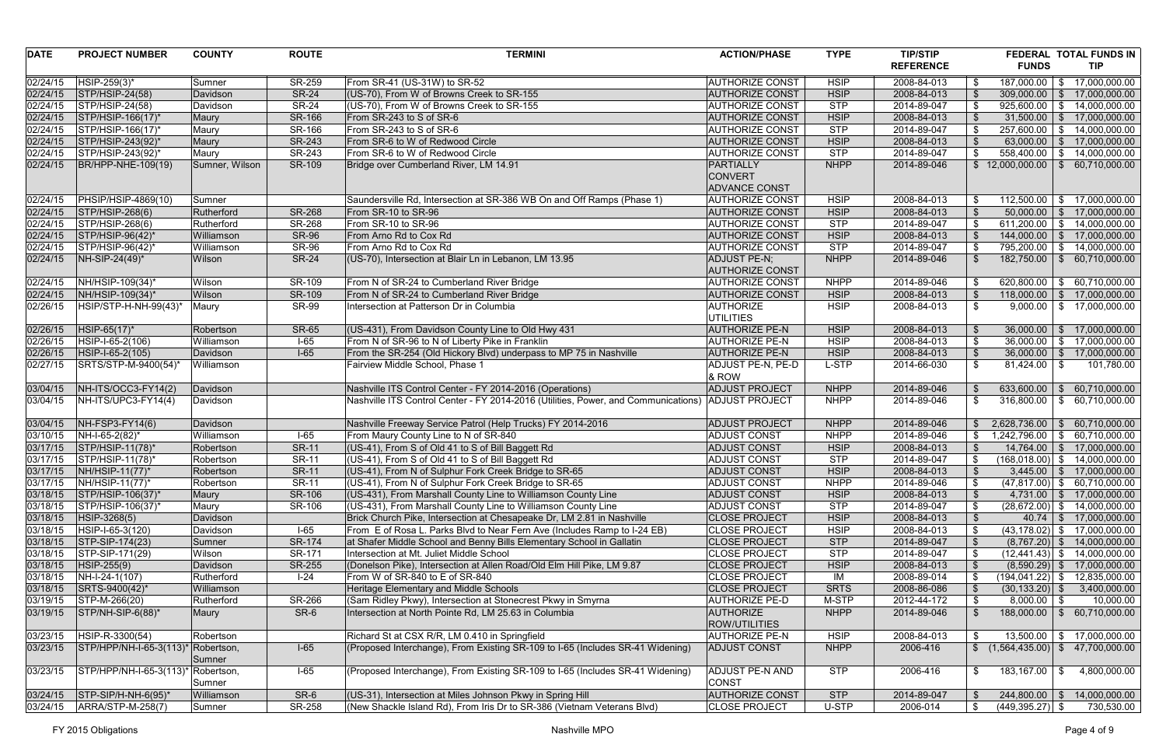| <b>REFERENCE</b><br><b>FUNDS</b><br><b>TIP</b><br>From SR-41 (US-31W) to SR-52<br><b>AUTHORIZE CONST</b><br>2008-84-013<br>$187,000.00$ \$<br>02/24/15<br>HSIP-259(3)*<br>Sumner<br>SR-259<br><b>HSIP</b><br><b>SR-24</b><br><b>HSIP</b><br>2008-84-013<br>$309,000.00$ \$<br>02/24/15<br>$\vert$ STP/HSIP-24(58)<br>(US-70), From W of Browns Creek to SR-155<br><b>AUTHORIZE CONST</b><br>Davidson<br>2014-89-047<br><b>SR-24</b><br>(US-70), From W of Browns Creek to SR-155<br><b>STP</b><br>02/24/15<br>$\vert$ STP/HSIP-24(58)<br>Davidson<br><b>AUTHORIZE CONST</b><br>STP/HSIP-166(17)*<br>SR-166<br><b>HSIP</b><br>2008-84-013<br>02/24/15<br>From SR-243 to S of SR-6<br><b>AUTHORIZE CONST</b><br>Maury<br><b>STP</b><br>2014-89-047<br>02/24/15<br>STP/HSIP-166(17)*<br>Maury<br>SR-166<br>From SR-243 to S of SR-6<br><b>AUTHORIZE CONST</b><br>2008-84-013<br>02/24/15<br><b>SR-243</b><br><b>AUTHORIZE CONST</b><br><b>HSIP</b><br>STP/HSIP-243(92)*<br>From SR-6 to W of Redwood Circle<br>Maury<br>SR-243<br><b>STP</b><br>2014-89-047<br>02/24/15<br>STP/HSIP-243(92)*<br>Maury<br>From SR-6 to W of Redwood Circle<br><b>AUTHORIZE CONST</b><br>SR-109<br><b>NHPP</b><br>2014-89-046<br>02/24/15<br>BR/HPP-NHE-109(19)<br>Bridge over Cumberland River, LM 14.91<br><b>PARTIALLY</b><br>Sumner, Wilson<br><b>CONVERT</b><br><b>ADVANCE CONST</b><br><b>HSIP</b><br>2008-84-013<br><b>PHSIP/HSIP-4869(10)</b><br>Saundersville Rd, Intersection at SR-386 WB On and Off Ramps (Phase 1)<br><b>AUTHORIZE CONST</b><br>02/24/15<br>Sumner<br><b>SR-268</b><br><b>HSIP</b><br>2008-84-013<br>02/24/15<br>$\vert$ STP/HSIP-268(6)<br>Rutherford<br>From SR-10 to SR-96<br><b>AUTHORIZE CONST</b><br><b>STP</b><br>2014-89-047<br>02/24/15<br>$\vert$ STP/HSIP-268(6)<br>Rutherford<br><b>SR-268</b><br>From SR-10 to SR-96<br><b>AUTHORIZE CONST</b><br><b>HSIP</b><br>2008-84-013<br>$144,000.00$ \$ 17,000,000.00<br>02/24/15<br>$ STP/HSIP-96(42)*$<br><b>SR-96</b><br>From Arno Rd to Cox Rd<br><b>AUTHORIZE CONST</b><br>Williamson<br><b>SR-96</b><br><b>STP</b><br>2014-89-047<br>795,200.00 \$ 14,000,000.00<br>02/24/15<br>STP/HSIP-96(42)*<br>Williamson<br>From Arno Rd to Cox Rd<br><b>AUTHORIZE CONST</b><br><b>SR-24</b><br>(US-70), Intersection at Blair Ln in Lebanon, LM 13.95<br><b>NHPP</b><br>02/24/15<br>$NH-SIP-24(49)^*$<br>ADJUST PE-N;<br>2014-89-046<br>$182,750.00$ \$ 60,710,000.00<br>Wilson<br><b>AUTHORIZE CONST</b><br>NH/HSIP-109(34)*<br>2014-89-046<br>02/24/15<br>SR-109<br>From N of SR-24 to Cumberland River Bridge<br><b>AUTHORIZE CONST</b><br><b>NHPP</b><br>Wilson<br>NH/HSIP-109(34)*<br>SR-109<br><b>HSIP</b><br>2008-84-013<br>02/24/15<br>Wilson<br>From N of SR-24 to Cumberland River Bridge<br><b>AUTHORIZE CONST</b><br>- \$<br><b>SR-99</b><br><b>AUTHORIZE</b><br><b>HSIP</b><br>2008-84-013<br>02/26/15<br>HSIP/STP-H-NH-99(43)*<br>Intersection at Patterson Dr in Columbia<br>\$<br>Maury<br><b>UTILITIES</b><br>$HSIP-65(17)^*$<br><b>SR-65</b><br>(US-431), From Davidson County Line to Old Hwy 431<br><b>HSIP</b><br>2008-84-013<br>$36,000.00$ \$<br>02/26/15<br><b>AUTHORIZE PE-N</b><br>Robertson<br>From N of SR-96 to N of Liberty Pike in Franklin<br>HSIP-I-65-2(106)<br>$I-65$<br><b>HSIP</b><br>2008-84-013<br>02/26/15<br><b>AUTHORIZE PE-N</b><br>Williamson<br>$I-65$<br>From the SR-254 (Old Hickory Blvd) underpass to MP 75 in Nashville<br><b>HSIP</b><br>2008-84-013<br>02/26/15<br>HSIP-I-65-2(105)<br><b>AUTHORIZE PE-N</b><br>Davidson<br>L-STP<br>02/27/15<br>SRTS/STP-M-9400(54)*<br>Fairview Middle School, Phase 1<br>ADJUST PE-N, PE-D<br>2014-66-030<br>$81,424.00$ \ \$<br>Williamson<br>& ROW<br><b>NHPP</b><br>2014-89-046<br>$NH$ -ITS/OCC3-FY14(2)<br>Davidson<br>Nashville ITS Control Center - FY 2014-2016 (Operations)<br><b>ADJUST PROJECT</b><br>03/04/15<br>Nashville ITS Control Center - FY 2014-2016 (Utilities, Power, and Communications)<br>NH-ITS/UPC3-FY14(4)<br><b>NHPP</b><br>2014-89-046<br>03/04/15<br>Davidson<br><b>ADJUST PROJECT</b><br>Nashville Freeway Service Patrol (Help Trucks) FY 2014-2016<br><b>NHPP</b><br>2014-89-046<br>03/04/15<br>$NH$ -FSP3-FY14(6)<br>Davidson<br><b>ADJUST PROJECT</b><br>$2,628,736.00$ \$<br>$I-65$<br>From Maury County Line to N of SR-840<br>2014-89-046<br>03/10/15<br>NH-I-65-2(82)*<br><b>ADJUST CONST</b><br><b>NHPP</b><br>Williamson<br><b>SR-11</b><br>(US-41), From S of Old 41 to S of Bill Baggett Rd<br>2008-84-013<br>03/17/15<br>$ STP/HSIP-11(78)*$<br><b>ADJUST CONST</b><br><b>HSIP</b><br>Robertson<br><b>SR-11</b><br><b>STP</b><br>(US-41), From S of Old 41 to S of Bill Baggett Rd<br>2014-89-047<br>03/17/15<br>$\left\vert$ STP/HSIP-11(78)*<br>Robertson<br><b>ADJUST CONST</b><br>03/17/15 NH/HSIP-11(77)*<br><b>SR-11</b><br>ADJUST CONST<br><b>HSIP</b><br>2008-84-013<br>Robertson<br>(US-41), From N of Sulphur Fork Creek Bridge to SR-65<br>$\sqrt[6]{2}$<br>$NH/HSIP-11(77)$ *<br>Robertson<br>(US-41), From N of Sulphur Fork Creek Bridge to SR-65<br><b>ADJUST CONST</b><br><b>SR-11</b><br><b>NHPP</b><br>2014-89-046<br>03/17/15<br>- \$<br>(US-431), From Marshall County Line to Williamson County Line<br><b>SR-106</b><br><b>HSIP</b><br>2008-84-013<br>03/18/15<br>STP/HSIP-106(37)*<br><b>ADJUST CONST</b><br>Maury<br>(US-431), From Marshall County Line to Williamson County Line<br>Maury<br>SR-106<br><b>ADJUST CONST</b><br><b>STP</b><br>03/18/15<br>STP/HSIP-106(37)*<br>2014-89-047<br>Brick Church Pike, Intersection at Chesapeake Dr, LM 2.81 in Nashville<br>03/18/15<br>$ HSIP-3268(5) $<br><b>CLOSE PROJECT</b><br><b>HSIP</b><br>2008-84-013<br>$40.74$ \$ 17,000,000.00<br>Davidson<br>$I-65$<br>HSIP-I-65-3(120)<br>From E of Rosa L. Parks Blvd to Near Fern Ave (Includes Ramp to I-24 EB)<br><b>HSIP</b><br>2008-84-013<br>$(43, 178.02)$ \$ 17,000,000.00<br>03/18/15<br>Davidson<br><b>CLOSE PROJECT</b><br>$\left $ STP-SIP-174(23)<br><b>SR-174</b><br>at Shafer Middle School and Benny Bills Elementary School in Gallatin<br><b>STP</b><br>2014-89-047<br>03/18/15<br>Sumner<br><b>CLOSE PROJECT</b><br>$(8,767.20)$ \$ 14,000,000.00<br>$\vert$ STP-SIP-171(29)<br>Intersection at Mt. Juliet Middle School<br><b>CLOSE PROJECT</b><br><b>STP</b><br>2014-89-047<br>03/18/15<br>Wilson<br>SR-171<br>$(12,441.43)$ \$ 14,000,000.00<br>$ HSIP-255(9) $<br>Davidson<br><b>SR-255</b><br>(Donelson Pike), Intersection at Allen Road/Old Elm Hill Pike, LM 9.87<br><b>CLOSE PROJECT</b><br><b>HSIP</b><br>2008-84-013<br>03/18/15<br>$(8,590.29)$ \$<br>17,000,000.00<br>IM<br>2008-89-014<br>03/18/15<br>$NH-I-24-1(107)$<br>Rutherford<br>$I-24$<br>From W of SR-840 to E of SR-840<br><b>CLOSE PROJECT</b><br>(194,041.22)  \$ 12,835,000.00  <br>Heritage Elementary and Middle Schools<br><b>CLOSE PROJECT</b><br><b>SRTS</b><br>2008-86-086<br>03/18/15<br>SRTS-9400(42)*<br>Williamson<br>$(30, 133.20)$ \$<br>3,400,000.00<br>(Sam Ridley Pkwy), Intersection at Stonecrest Pkwy in Smyrna<br>SR-266<br><b>AUTHORIZE PE-D</b><br>M-STP<br>2012-44-172<br>$8,000.00$ \$<br>10,000.00<br>03/19/15<br>$\vert$ STP-M-266(20)<br>Rutherford<br><b>AUTHORIZE</b><br><b>NHPP</b><br>188,000.00 \$ 60,710,000.00<br>03/19/15<br>$ STP/NH-SIP-6(88)^* $<br>SR-6<br>Intersection at North Pointe Rd, LM 25.63 in Columbia<br>2014-89-046<br>Maury | <b>DATE</b> | <b>PROJECT NUMBER</b> | <b>COUNTY</b> | <b>ROUTE</b> | <b>TERMINI</b> | <b>ACTION/PHASE</b> | <b>TYPE</b> | <b>TIP/STIP</b> | FEDERAL TOTAL FUNDS IN                         |
|-----------------------------------------------------------------------------------------------------------------------------------------------------------------------------------------------------------------------------------------------------------------------------------------------------------------------------------------------------------------------------------------------------------------------------------------------------------------------------------------------------------------------------------------------------------------------------------------------------------------------------------------------------------------------------------------------------------------------------------------------------------------------------------------------------------------------------------------------------------------------------------------------------------------------------------------------------------------------------------------------------------------------------------------------------------------------------------------------------------------------------------------------------------------------------------------------------------------------------------------------------------------------------------------------------------------------------------------------------------------------------------------------------------------------------------------------------------------------------------------------------------------------------------------------------------------------------------------------------------------------------------------------------------------------------------------------------------------------------------------------------------------------------------------------------------------------------------------------------------------------------------------------------------------------------------------------------------------------------------------------------------------------------------------------------------------------------------------------------------------------------------------------------------------------------------------------------------------------------------------------------------------------------------------------------------------------------------------------------------------------------------------------------------------------------------------------------------------------------------------------------------------------------------------------------------------------------------------------------------------------------------------------------------------------------------------------------------------------------------------------------------------------------------------------------------------------------------------------------------------------------------------------------------------------------------------------------------------------------------------------------------------------------------------------------------------------------------------------------------------------------------------------------------------------------------------------------------------------------------------------------------------------------------------------------------------------------------------------------------------------------------------------------------------------------------------------------------------------------------------------------------------------------------------------------------------------------------------------------------------------------------------------------------------------------------------------------------------------------------------------------------------------------------------------------------------------------------------------------------------------------------------------------------------------------------------------------------------------------------------------------------------------------------------------------------------------------------------------------------------------------------------------------------------------------------------------------------------------------------------------------------------------------------------------------------------------------------------------------------------------------------------------------------------------------------------------------------------------------------------------------------------------------------------------------------------------------------------------------------------------------------------------------------------------------------------------------------------------------------------------------------------------------------------------------------------------------------------------------------------------------------------------------------------------------------------------------------------------------------------------------------------------------------------------------------------------------------------------------------------------------------------------------------------------------------------------------------------------------------------------------------------------------------------------------------------------------------------------------------------------------------------------------------------------------------------------------------------------------------------------------------------------------------------------------------------------------------------------------------------------------------------------------------------------------------------------------------------------------------------------------------------------------------------------------------------------------------------------------------------------------------------------------------------------------------------------------------------------------------------------------------------------------------------------------------------------------------------------------------------------------------------------------------------------------------------------------------------------------------------------------------------------------------------------------------------------------------------------------------------------------------------------------------------------------------------------------------------------------------------------------------------------------------------------------------------------------------------------------------------------------------------------------------------------------------------------------------------------------------------------------------------------------------------------------------------------------------------------------------------------------------------------------------------------------------------------------------------------------------------------------------------------------------------------------------------------------------------------------------------------------------------------------------------------------------------------------------------------------------------------------------------------------------------------------------------------------------------------------------------------------------------------|-------------|-----------------------|---------------|--------------|----------------|---------------------|-------------|-----------------|------------------------------------------------|
|                                                                                                                                                                                                                                                                                                                                                                                                                                                                                                                                                                                                                                                                                                                                                                                                                                                                                                                                                                                                                                                                                                                                                                                                                                                                                                                                                                                                                                                                                                                                                                                                                                                                                                                                                                                                                                                                                                                                                                                                                                                                                                                                                                                                                                                                                                                                                                                                                                                                                                                                                                                                                                                                                                                                                                                                                                                                                                                                                                                                                                                                                                                                                                                                                                                                                                                                                                                                                                                                                                                                                                                                                                                                                                                                                                                                                                                                                                                                                                                                                                                                                                                                                                                                                                                                                                                                                                                                                                                                                                                                                                                                                                                                                                                                                                                                                                                                                                                                                                                                                                                                                                                                                                                                                                                                                                                                                                                                                                                                                                                                                                                                                                                                                                                                                                                                                                                                                                                                                                                                                                                                                                                                                                                                                                                                                                                                                                                                                                                                                                                                                                                                                                                                                                                                                                                                                                                                                                                                                                                                                                                                                                                                                                                                                                                                                                                                                                                               |             |                       |               |              |                |                     |             |                 |                                                |
|                                                                                                                                                                                                                                                                                                                                                                                                                                                                                                                                                                                                                                                                                                                                                                                                                                                                                                                                                                                                                                                                                                                                                                                                                                                                                                                                                                                                                                                                                                                                                                                                                                                                                                                                                                                                                                                                                                                                                                                                                                                                                                                                                                                                                                                                                                                                                                                                                                                                                                                                                                                                                                                                                                                                                                                                                                                                                                                                                                                                                                                                                                                                                                                                                                                                                                                                                                                                                                                                                                                                                                                                                                                                                                                                                                                                                                                                                                                                                                                                                                                                                                                                                                                                                                                                                                                                                                                                                                                                                                                                                                                                                                                                                                                                                                                                                                                                                                                                                                                                                                                                                                                                                                                                                                                                                                                                                                                                                                                                                                                                                                                                                                                                                                                                                                                                                                                                                                                                                                                                                                                                                                                                                                                                                                                                                                                                                                                                                                                                                                                                                                                                                                                                                                                                                                                                                                                                                                                                                                                                                                                                                                                                                                                                                                                                                                                                                                                               |             |                       |               |              |                |                     |             |                 | 17,000,000.00                                  |
|                                                                                                                                                                                                                                                                                                                                                                                                                                                                                                                                                                                                                                                                                                                                                                                                                                                                                                                                                                                                                                                                                                                                                                                                                                                                                                                                                                                                                                                                                                                                                                                                                                                                                                                                                                                                                                                                                                                                                                                                                                                                                                                                                                                                                                                                                                                                                                                                                                                                                                                                                                                                                                                                                                                                                                                                                                                                                                                                                                                                                                                                                                                                                                                                                                                                                                                                                                                                                                                                                                                                                                                                                                                                                                                                                                                                                                                                                                                                                                                                                                                                                                                                                                                                                                                                                                                                                                                                                                                                                                                                                                                                                                                                                                                                                                                                                                                                                                                                                                                                                                                                                                                                                                                                                                                                                                                                                                                                                                                                                                                                                                                                                                                                                                                                                                                                                                                                                                                                                                                                                                                                                                                                                                                                                                                                                                                                                                                                                                                                                                                                                                                                                                                                                                                                                                                                                                                                                                                                                                                                                                                                                                                                                                                                                                                                                                                                                                                               |             |                       |               |              |                |                     |             |                 | 17,000,000.00                                  |
|                                                                                                                                                                                                                                                                                                                                                                                                                                                                                                                                                                                                                                                                                                                                                                                                                                                                                                                                                                                                                                                                                                                                                                                                                                                                                                                                                                                                                                                                                                                                                                                                                                                                                                                                                                                                                                                                                                                                                                                                                                                                                                                                                                                                                                                                                                                                                                                                                                                                                                                                                                                                                                                                                                                                                                                                                                                                                                                                                                                                                                                                                                                                                                                                                                                                                                                                                                                                                                                                                                                                                                                                                                                                                                                                                                                                                                                                                                                                                                                                                                                                                                                                                                                                                                                                                                                                                                                                                                                                                                                                                                                                                                                                                                                                                                                                                                                                                                                                                                                                                                                                                                                                                                                                                                                                                                                                                                                                                                                                                                                                                                                                                                                                                                                                                                                                                                                                                                                                                                                                                                                                                                                                                                                                                                                                                                                                                                                                                                                                                                                                                                                                                                                                                                                                                                                                                                                                                                                                                                                                                                                                                                                                                                                                                                                                                                                                                                                               |             |                       |               |              |                |                     |             |                 | $925,600.00$ \$ 14,000,000.00                  |
|                                                                                                                                                                                                                                                                                                                                                                                                                                                                                                                                                                                                                                                                                                                                                                                                                                                                                                                                                                                                                                                                                                                                                                                                                                                                                                                                                                                                                                                                                                                                                                                                                                                                                                                                                                                                                                                                                                                                                                                                                                                                                                                                                                                                                                                                                                                                                                                                                                                                                                                                                                                                                                                                                                                                                                                                                                                                                                                                                                                                                                                                                                                                                                                                                                                                                                                                                                                                                                                                                                                                                                                                                                                                                                                                                                                                                                                                                                                                                                                                                                                                                                                                                                                                                                                                                                                                                                                                                                                                                                                                                                                                                                                                                                                                                                                                                                                                                                                                                                                                                                                                                                                                                                                                                                                                                                                                                                                                                                                                                                                                                                                                                                                                                                                                                                                                                                                                                                                                                                                                                                                                                                                                                                                                                                                                                                                                                                                                                                                                                                                                                                                                                                                                                                                                                                                                                                                                                                                                                                                                                                                                                                                                                                                                                                                                                                                                                                                               |             |                       |               |              |                |                     |             |                 | $31,500.00$ \$ 17,000,000.00                   |
|                                                                                                                                                                                                                                                                                                                                                                                                                                                                                                                                                                                                                                                                                                                                                                                                                                                                                                                                                                                                                                                                                                                                                                                                                                                                                                                                                                                                                                                                                                                                                                                                                                                                                                                                                                                                                                                                                                                                                                                                                                                                                                                                                                                                                                                                                                                                                                                                                                                                                                                                                                                                                                                                                                                                                                                                                                                                                                                                                                                                                                                                                                                                                                                                                                                                                                                                                                                                                                                                                                                                                                                                                                                                                                                                                                                                                                                                                                                                                                                                                                                                                                                                                                                                                                                                                                                                                                                                                                                                                                                                                                                                                                                                                                                                                                                                                                                                                                                                                                                                                                                                                                                                                                                                                                                                                                                                                                                                                                                                                                                                                                                                                                                                                                                                                                                                                                                                                                                                                                                                                                                                                                                                                                                                                                                                                                                                                                                                                                                                                                                                                                                                                                                                                                                                                                                                                                                                                                                                                                                                                                                                                                                                                                                                                                                                                                                                                                                               |             |                       |               |              |                |                     |             |                 | 257,600.00 \$ 14,000,000.00                    |
|                                                                                                                                                                                                                                                                                                                                                                                                                                                                                                                                                                                                                                                                                                                                                                                                                                                                                                                                                                                                                                                                                                                                                                                                                                                                                                                                                                                                                                                                                                                                                                                                                                                                                                                                                                                                                                                                                                                                                                                                                                                                                                                                                                                                                                                                                                                                                                                                                                                                                                                                                                                                                                                                                                                                                                                                                                                                                                                                                                                                                                                                                                                                                                                                                                                                                                                                                                                                                                                                                                                                                                                                                                                                                                                                                                                                                                                                                                                                                                                                                                                                                                                                                                                                                                                                                                                                                                                                                                                                                                                                                                                                                                                                                                                                                                                                                                                                                                                                                                                                                                                                                                                                                                                                                                                                                                                                                                                                                                                                                                                                                                                                                                                                                                                                                                                                                                                                                                                                                                                                                                                                                                                                                                                                                                                                                                                                                                                                                                                                                                                                                                                                                                                                                                                                                                                                                                                                                                                                                                                                                                                                                                                                                                                                                                                                                                                                                                                               |             |                       |               |              |                |                     |             |                 | $63,000.00$   \$ 17,000,000.00                 |
|                                                                                                                                                                                                                                                                                                                                                                                                                                                                                                                                                                                                                                                                                                                                                                                                                                                                                                                                                                                                                                                                                                                                                                                                                                                                                                                                                                                                                                                                                                                                                                                                                                                                                                                                                                                                                                                                                                                                                                                                                                                                                                                                                                                                                                                                                                                                                                                                                                                                                                                                                                                                                                                                                                                                                                                                                                                                                                                                                                                                                                                                                                                                                                                                                                                                                                                                                                                                                                                                                                                                                                                                                                                                                                                                                                                                                                                                                                                                                                                                                                                                                                                                                                                                                                                                                                                                                                                                                                                                                                                                                                                                                                                                                                                                                                                                                                                                                                                                                                                                                                                                                                                                                                                                                                                                                                                                                                                                                                                                                                                                                                                                                                                                                                                                                                                                                                                                                                                                                                                                                                                                                                                                                                                                                                                                                                                                                                                                                                                                                                                                                                                                                                                                                                                                                                                                                                                                                                                                                                                                                                                                                                                                                                                                                                                                                                                                                                                               |             |                       |               |              |                |                     |             |                 | $558,400.00$ \$ 14,000,000.00                  |
|                                                                                                                                                                                                                                                                                                                                                                                                                                                                                                                                                                                                                                                                                                                                                                                                                                                                                                                                                                                                                                                                                                                                                                                                                                                                                                                                                                                                                                                                                                                                                                                                                                                                                                                                                                                                                                                                                                                                                                                                                                                                                                                                                                                                                                                                                                                                                                                                                                                                                                                                                                                                                                                                                                                                                                                                                                                                                                                                                                                                                                                                                                                                                                                                                                                                                                                                                                                                                                                                                                                                                                                                                                                                                                                                                                                                                                                                                                                                                                                                                                                                                                                                                                                                                                                                                                                                                                                                                                                                                                                                                                                                                                                                                                                                                                                                                                                                                                                                                                                                                                                                                                                                                                                                                                                                                                                                                                                                                                                                                                                                                                                                                                                                                                                                                                                                                                                                                                                                                                                                                                                                                                                                                                                                                                                                                                                                                                                                                                                                                                                                                                                                                                                                                                                                                                                                                                                                                                                                                                                                                                                                                                                                                                                                                                                                                                                                                                                               |             |                       |               |              |                |                     |             |                 | $$12,000,000.00$   \$ 60,710,000.00            |
|                                                                                                                                                                                                                                                                                                                                                                                                                                                                                                                                                                                                                                                                                                                                                                                                                                                                                                                                                                                                                                                                                                                                                                                                                                                                                                                                                                                                                                                                                                                                                                                                                                                                                                                                                                                                                                                                                                                                                                                                                                                                                                                                                                                                                                                                                                                                                                                                                                                                                                                                                                                                                                                                                                                                                                                                                                                                                                                                                                                                                                                                                                                                                                                                                                                                                                                                                                                                                                                                                                                                                                                                                                                                                                                                                                                                                                                                                                                                                                                                                                                                                                                                                                                                                                                                                                                                                                                                                                                                                                                                                                                                                                                                                                                                                                                                                                                                                                                                                                                                                                                                                                                                                                                                                                                                                                                                                                                                                                                                                                                                                                                                                                                                                                                                                                                                                                                                                                                                                                                                                                                                                                                                                                                                                                                                                                                                                                                                                                                                                                                                                                                                                                                                                                                                                                                                                                                                                                                                                                                                                                                                                                                                                                                                                                                                                                                                                                                               |             |                       |               |              |                |                     |             |                 |                                                |
|                                                                                                                                                                                                                                                                                                                                                                                                                                                                                                                                                                                                                                                                                                                                                                                                                                                                                                                                                                                                                                                                                                                                                                                                                                                                                                                                                                                                                                                                                                                                                                                                                                                                                                                                                                                                                                                                                                                                                                                                                                                                                                                                                                                                                                                                                                                                                                                                                                                                                                                                                                                                                                                                                                                                                                                                                                                                                                                                                                                                                                                                                                                                                                                                                                                                                                                                                                                                                                                                                                                                                                                                                                                                                                                                                                                                                                                                                                                                                                                                                                                                                                                                                                                                                                                                                                                                                                                                                                                                                                                                                                                                                                                                                                                                                                                                                                                                                                                                                                                                                                                                                                                                                                                                                                                                                                                                                                                                                                                                                                                                                                                                                                                                                                                                                                                                                                                                                                                                                                                                                                                                                                                                                                                                                                                                                                                                                                                                                                                                                                                                                                                                                                                                                                                                                                                                                                                                                                                                                                                                                                                                                                                                                                                                                                                                                                                                                                                               |             |                       |               |              |                |                     |             |                 |                                                |
|                                                                                                                                                                                                                                                                                                                                                                                                                                                                                                                                                                                                                                                                                                                                                                                                                                                                                                                                                                                                                                                                                                                                                                                                                                                                                                                                                                                                                                                                                                                                                                                                                                                                                                                                                                                                                                                                                                                                                                                                                                                                                                                                                                                                                                                                                                                                                                                                                                                                                                                                                                                                                                                                                                                                                                                                                                                                                                                                                                                                                                                                                                                                                                                                                                                                                                                                                                                                                                                                                                                                                                                                                                                                                                                                                                                                                                                                                                                                                                                                                                                                                                                                                                                                                                                                                                                                                                                                                                                                                                                                                                                                                                                                                                                                                                                                                                                                                                                                                                                                                                                                                                                                                                                                                                                                                                                                                                                                                                                                                                                                                                                                                                                                                                                                                                                                                                                                                                                                                                                                                                                                                                                                                                                                                                                                                                                                                                                                                                                                                                                                                                                                                                                                                                                                                                                                                                                                                                                                                                                                                                                                                                                                                                                                                                                                                                                                                                                               |             |                       |               |              |                |                     |             |                 | $112,500.00$ \$ 17,000,000.00                  |
|                                                                                                                                                                                                                                                                                                                                                                                                                                                                                                                                                                                                                                                                                                                                                                                                                                                                                                                                                                                                                                                                                                                                                                                                                                                                                                                                                                                                                                                                                                                                                                                                                                                                                                                                                                                                                                                                                                                                                                                                                                                                                                                                                                                                                                                                                                                                                                                                                                                                                                                                                                                                                                                                                                                                                                                                                                                                                                                                                                                                                                                                                                                                                                                                                                                                                                                                                                                                                                                                                                                                                                                                                                                                                                                                                                                                                                                                                                                                                                                                                                                                                                                                                                                                                                                                                                                                                                                                                                                                                                                                                                                                                                                                                                                                                                                                                                                                                                                                                                                                                                                                                                                                                                                                                                                                                                                                                                                                                                                                                                                                                                                                                                                                                                                                                                                                                                                                                                                                                                                                                                                                                                                                                                                                                                                                                                                                                                                                                                                                                                                                                                                                                                                                                                                                                                                                                                                                                                                                                                                                                                                                                                                                                                                                                                                                                                                                                                                               |             |                       |               |              |                |                     |             |                 | $50,000.00$ \$ 17,000,000.00                   |
|                                                                                                                                                                                                                                                                                                                                                                                                                                                                                                                                                                                                                                                                                                                                                                                                                                                                                                                                                                                                                                                                                                                                                                                                                                                                                                                                                                                                                                                                                                                                                                                                                                                                                                                                                                                                                                                                                                                                                                                                                                                                                                                                                                                                                                                                                                                                                                                                                                                                                                                                                                                                                                                                                                                                                                                                                                                                                                                                                                                                                                                                                                                                                                                                                                                                                                                                                                                                                                                                                                                                                                                                                                                                                                                                                                                                                                                                                                                                                                                                                                                                                                                                                                                                                                                                                                                                                                                                                                                                                                                                                                                                                                                                                                                                                                                                                                                                                                                                                                                                                                                                                                                                                                                                                                                                                                                                                                                                                                                                                                                                                                                                                                                                                                                                                                                                                                                                                                                                                                                                                                                                                                                                                                                                                                                                                                                                                                                                                                                                                                                                                                                                                                                                                                                                                                                                                                                                                                                                                                                                                                                                                                                                                                                                                                                                                                                                                                                               |             |                       |               |              |                |                     |             |                 | 611,200.00 $\vert \$$ 14,000,000.00            |
|                                                                                                                                                                                                                                                                                                                                                                                                                                                                                                                                                                                                                                                                                                                                                                                                                                                                                                                                                                                                                                                                                                                                                                                                                                                                                                                                                                                                                                                                                                                                                                                                                                                                                                                                                                                                                                                                                                                                                                                                                                                                                                                                                                                                                                                                                                                                                                                                                                                                                                                                                                                                                                                                                                                                                                                                                                                                                                                                                                                                                                                                                                                                                                                                                                                                                                                                                                                                                                                                                                                                                                                                                                                                                                                                                                                                                                                                                                                                                                                                                                                                                                                                                                                                                                                                                                                                                                                                                                                                                                                                                                                                                                                                                                                                                                                                                                                                                                                                                                                                                                                                                                                                                                                                                                                                                                                                                                                                                                                                                                                                                                                                                                                                                                                                                                                                                                                                                                                                                                                                                                                                                                                                                                                                                                                                                                                                                                                                                                                                                                                                                                                                                                                                                                                                                                                                                                                                                                                                                                                                                                                                                                                                                                                                                                                                                                                                                                                               |             |                       |               |              |                |                     |             |                 |                                                |
|                                                                                                                                                                                                                                                                                                                                                                                                                                                                                                                                                                                                                                                                                                                                                                                                                                                                                                                                                                                                                                                                                                                                                                                                                                                                                                                                                                                                                                                                                                                                                                                                                                                                                                                                                                                                                                                                                                                                                                                                                                                                                                                                                                                                                                                                                                                                                                                                                                                                                                                                                                                                                                                                                                                                                                                                                                                                                                                                                                                                                                                                                                                                                                                                                                                                                                                                                                                                                                                                                                                                                                                                                                                                                                                                                                                                                                                                                                                                                                                                                                                                                                                                                                                                                                                                                                                                                                                                                                                                                                                                                                                                                                                                                                                                                                                                                                                                                                                                                                                                                                                                                                                                                                                                                                                                                                                                                                                                                                                                                                                                                                                                                                                                                                                                                                                                                                                                                                                                                                                                                                                                                                                                                                                                                                                                                                                                                                                                                                                                                                                                                                                                                                                                                                                                                                                                                                                                                                                                                                                                                                                                                                                                                                                                                                                                                                                                                                                               |             |                       |               |              |                |                     |             |                 |                                                |
|                                                                                                                                                                                                                                                                                                                                                                                                                                                                                                                                                                                                                                                                                                                                                                                                                                                                                                                                                                                                                                                                                                                                                                                                                                                                                                                                                                                                                                                                                                                                                                                                                                                                                                                                                                                                                                                                                                                                                                                                                                                                                                                                                                                                                                                                                                                                                                                                                                                                                                                                                                                                                                                                                                                                                                                                                                                                                                                                                                                                                                                                                                                                                                                                                                                                                                                                                                                                                                                                                                                                                                                                                                                                                                                                                                                                                                                                                                                                                                                                                                                                                                                                                                                                                                                                                                                                                                                                                                                                                                                                                                                                                                                                                                                                                                                                                                                                                                                                                                                                                                                                                                                                                                                                                                                                                                                                                                                                                                                                                                                                                                                                                                                                                                                                                                                                                                                                                                                                                                                                                                                                                                                                                                                                                                                                                                                                                                                                                                                                                                                                                                                                                                                                                                                                                                                                                                                                                                                                                                                                                                                                                                                                                                                                                                                                                                                                                                                               |             |                       |               |              |                |                     |             |                 |                                                |
|                                                                                                                                                                                                                                                                                                                                                                                                                                                                                                                                                                                                                                                                                                                                                                                                                                                                                                                                                                                                                                                                                                                                                                                                                                                                                                                                                                                                                                                                                                                                                                                                                                                                                                                                                                                                                                                                                                                                                                                                                                                                                                                                                                                                                                                                                                                                                                                                                                                                                                                                                                                                                                                                                                                                                                                                                                                                                                                                                                                                                                                                                                                                                                                                                                                                                                                                                                                                                                                                                                                                                                                                                                                                                                                                                                                                                                                                                                                                                                                                                                                                                                                                                                                                                                                                                                                                                                                                                                                                                                                                                                                                                                                                                                                                                                                                                                                                                                                                                                                                                                                                                                                                                                                                                                                                                                                                                                                                                                                                                                                                                                                                                                                                                                                                                                                                                                                                                                                                                                                                                                                                                                                                                                                                                                                                                                                                                                                                                                                                                                                                                                                                                                                                                                                                                                                                                                                                                                                                                                                                                                                                                                                                                                                                                                                                                                                                                                                               |             |                       |               |              |                |                     |             |                 | $620,800.00$ \$ 60,710,000.00                  |
|                                                                                                                                                                                                                                                                                                                                                                                                                                                                                                                                                                                                                                                                                                                                                                                                                                                                                                                                                                                                                                                                                                                                                                                                                                                                                                                                                                                                                                                                                                                                                                                                                                                                                                                                                                                                                                                                                                                                                                                                                                                                                                                                                                                                                                                                                                                                                                                                                                                                                                                                                                                                                                                                                                                                                                                                                                                                                                                                                                                                                                                                                                                                                                                                                                                                                                                                                                                                                                                                                                                                                                                                                                                                                                                                                                                                                                                                                                                                                                                                                                                                                                                                                                                                                                                                                                                                                                                                                                                                                                                                                                                                                                                                                                                                                                                                                                                                                                                                                                                                                                                                                                                                                                                                                                                                                                                                                                                                                                                                                                                                                                                                                                                                                                                                                                                                                                                                                                                                                                                                                                                                                                                                                                                                                                                                                                                                                                                                                                                                                                                                                                                                                                                                                                                                                                                                                                                                                                                                                                                                                                                                                                                                                                                                                                                                                                                                                                                               |             |                       |               |              |                |                     |             |                 | $118,000.00$ \$ 17,000,000.00                  |
|                                                                                                                                                                                                                                                                                                                                                                                                                                                                                                                                                                                                                                                                                                                                                                                                                                                                                                                                                                                                                                                                                                                                                                                                                                                                                                                                                                                                                                                                                                                                                                                                                                                                                                                                                                                                                                                                                                                                                                                                                                                                                                                                                                                                                                                                                                                                                                                                                                                                                                                                                                                                                                                                                                                                                                                                                                                                                                                                                                                                                                                                                                                                                                                                                                                                                                                                                                                                                                                                                                                                                                                                                                                                                                                                                                                                                                                                                                                                                                                                                                                                                                                                                                                                                                                                                                                                                                                                                                                                                                                                                                                                                                                                                                                                                                                                                                                                                                                                                                                                                                                                                                                                                                                                                                                                                                                                                                                                                                                                                                                                                                                                                                                                                                                                                                                                                                                                                                                                                                                                                                                                                                                                                                                                                                                                                                                                                                                                                                                                                                                                                                                                                                                                                                                                                                                                                                                                                                                                                                                                                                                                                                                                                                                                                                                                                                                                                                                               |             |                       |               |              |                |                     |             |                 | $\overline{9,000.00}$   \$ 17,000,000.00       |
|                                                                                                                                                                                                                                                                                                                                                                                                                                                                                                                                                                                                                                                                                                                                                                                                                                                                                                                                                                                                                                                                                                                                                                                                                                                                                                                                                                                                                                                                                                                                                                                                                                                                                                                                                                                                                                                                                                                                                                                                                                                                                                                                                                                                                                                                                                                                                                                                                                                                                                                                                                                                                                                                                                                                                                                                                                                                                                                                                                                                                                                                                                                                                                                                                                                                                                                                                                                                                                                                                                                                                                                                                                                                                                                                                                                                                                                                                                                                                                                                                                                                                                                                                                                                                                                                                                                                                                                                                                                                                                                                                                                                                                                                                                                                                                                                                                                                                                                                                                                                                                                                                                                                                                                                                                                                                                                                                                                                                                                                                                                                                                                                                                                                                                                                                                                                                                                                                                                                                                                                                                                                                                                                                                                                                                                                                                                                                                                                                                                                                                                                                                                                                                                                                                                                                                                                                                                                                                                                                                                                                                                                                                                                                                                                                                                                                                                                                                                               |             |                       |               |              |                |                     |             |                 |                                                |
|                                                                                                                                                                                                                                                                                                                                                                                                                                                                                                                                                                                                                                                                                                                                                                                                                                                                                                                                                                                                                                                                                                                                                                                                                                                                                                                                                                                                                                                                                                                                                                                                                                                                                                                                                                                                                                                                                                                                                                                                                                                                                                                                                                                                                                                                                                                                                                                                                                                                                                                                                                                                                                                                                                                                                                                                                                                                                                                                                                                                                                                                                                                                                                                                                                                                                                                                                                                                                                                                                                                                                                                                                                                                                                                                                                                                                                                                                                                                                                                                                                                                                                                                                                                                                                                                                                                                                                                                                                                                                                                                                                                                                                                                                                                                                                                                                                                                                                                                                                                                                                                                                                                                                                                                                                                                                                                                                                                                                                                                                                                                                                                                                                                                                                                                                                                                                                                                                                                                                                                                                                                                                                                                                                                                                                                                                                                                                                                                                                                                                                                                                                                                                                                                                                                                                                                                                                                                                                                                                                                                                                                                                                                                                                                                                                                                                                                                                                                               |             |                       |               |              |                |                     |             |                 | 17,000,000.00                                  |
|                                                                                                                                                                                                                                                                                                                                                                                                                                                                                                                                                                                                                                                                                                                                                                                                                                                                                                                                                                                                                                                                                                                                                                                                                                                                                                                                                                                                                                                                                                                                                                                                                                                                                                                                                                                                                                                                                                                                                                                                                                                                                                                                                                                                                                                                                                                                                                                                                                                                                                                                                                                                                                                                                                                                                                                                                                                                                                                                                                                                                                                                                                                                                                                                                                                                                                                                                                                                                                                                                                                                                                                                                                                                                                                                                                                                                                                                                                                                                                                                                                                                                                                                                                                                                                                                                                                                                                                                                                                                                                                                                                                                                                                                                                                                                                                                                                                                                                                                                                                                                                                                                                                                                                                                                                                                                                                                                                                                                                                                                                                                                                                                                                                                                                                                                                                                                                                                                                                                                                                                                                                                                                                                                                                                                                                                                                                                                                                                                                                                                                                                                                                                                                                                                                                                                                                                                                                                                                                                                                                                                                                                                                                                                                                                                                                                                                                                                                                               |             |                       |               |              |                |                     |             |                 | $36,000.00$ \$ 17,000,000.00                   |
|                                                                                                                                                                                                                                                                                                                                                                                                                                                                                                                                                                                                                                                                                                                                                                                                                                                                                                                                                                                                                                                                                                                                                                                                                                                                                                                                                                                                                                                                                                                                                                                                                                                                                                                                                                                                                                                                                                                                                                                                                                                                                                                                                                                                                                                                                                                                                                                                                                                                                                                                                                                                                                                                                                                                                                                                                                                                                                                                                                                                                                                                                                                                                                                                                                                                                                                                                                                                                                                                                                                                                                                                                                                                                                                                                                                                                                                                                                                                                                                                                                                                                                                                                                                                                                                                                                                                                                                                                                                                                                                                                                                                                                                                                                                                                                                                                                                                                                                                                                                                                                                                                                                                                                                                                                                                                                                                                                                                                                                                                                                                                                                                                                                                                                                                                                                                                                                                                                                                                                                                                                                                                                                                                                                                                                                                                                                                                                                                                                                                                                                                                                                                                                                                                                                                                                                                                                                                                                                                                                                                                                                                                                                                                                                                                                                                                                                                                                                               |             |                       |               |              |                |                     |             |                 | 36,000.00   \$ 17,000,000.00                   |
|                                                                                                                                                                                                                                                                                                                                                                                                                                                                                                                                                                                                                                                                                                                                                                                                                                                                                                                                                                                                                                                                                                                                                                                                                                                                                                                                                                                                                                                                                                                                                                                                                                                                                                                                                                                                                                                                                                                                                                                                                                                                                                                                                                                                                                                                                                                                                                                                                                                                                                                                                                                                                                                                                                                                                                                                                                                                                                                                                                                                                                                                                                                                                                                                                                                                                                                                                                                                                                                                                                                                                                                                                                                                                                                                                                                                                                                                                                                                                                                                                                                                                                                                                                                                                                                                                                                                                                                                                                                                                                                                                                                                                                                                                                                                                                                                                                                                                                                                                                                                                                                                                                                                                                                                                                                                                                                                                                                                                                                                                                                                                                                                                                                                                                                                                                                                                                                                                                                                                                                                                                                                                                                                                                                                                                                                                                                                                                                                                                                                                                                                                                                                                                                                                                                                                                                                                                                                                                                                                                                                                                                                                                                                                                                                                                                                                                                                                                                               |             |                       |               |              |                |                     |             |                 | 101,780.00                                     |
|                                                                                                                                                                                                                                                                                                                                                                                                                                                                                                                                                                                                                                                                                                                                                                                                                                                                                                                                                                                                                                                                                                                                                                                                                                                                                                                                                                                                                                                                                                                                                                                                                                                                                                                                                                                                                                                                                                                                                                                                                                                                                                                                                                                                                                                                                                                                                                                                                                                                                                                                                                                                                                                                                                                                                                                                                                                                                                                                                                                                                                                                                                                                                                                                                                                                                                                                                                                                                                                                                                                                                                                                                                                                                                                                                                                                                                                                                                                                                                                                                                                                                                                                                                                                                                                                                                                                                                                                                                                                                                                                                                                                                                                                                                                                                                                                                                                                                                                                                                                                                                                                                                                                                                                                                                                                                                                                                                                                                                                                                                                                                                                                                                                                                                                                                                                                                                                                                                                                                                                                                                                                                                                                                                                                                                                                                                                                                                                                                                                                                                                                                                                                                                                                                                                                                                                                                                                                                                                                                                                                                                                                                                                                                                                                                                                                                                                                                                                               |             |                       |               |              |                |                     |             |                 | 633,600.00 \$ 60,710,000.00                    |
|                                                                                                                                                                                                                                                                                                                                                                                                                                                                                                                                                                                                                                                                                                                                                                                                                                                                                                                                                                                                                                                                                                                                                                                                                                                                                                                                                                                                                                                                                                                                                                                                                                                                                                                                                                                                                                                                                                                                                                                                                                                                                                                                                                                                                                                                                                                                                                                                                                                                                                                                                                                                                                                                                                                                                                                                                                                                                                                                                                                                                                                                                                                                                                                                                                                                                                                                                                                                                                                                                                                                                                                                                                                                                                                                                                                                                                                                                                                                                                                                                                                                                                                                                                                                                                                                                                                                                                                                                                                                                                                                                                                                                                                                                                                                                                                                                                                                                                                                                                                                                                                                                                                                                                                                                                                                                                                                                                                                                                                                                                                                                                                                                                                                                                                                                                                                                                                                                                                                                                                                                                                                                                                                                                                                                                                                                                                                                                                                                                                                                                                                                                                                                                                                                                                                                                                                                                                                                                                                                                                                                                                                                                                                                                                                                                                                                                                                                                                               |             |                       |               |              |                |                     |             |                 | 316,800.00 \$ 60,710,000.00                    |
|                                                                                                                                                                                                                                                                                                                                                                                                                                                                                                                                                                                                                                                                                                                                                                                                                                                                                                                                                                                                                                                                                                                                                                                                                                                                                                                                                                                                                                                                                                                                                                                                                                                                                                                                                                                                                                                                                                                                                                                                                                                                                                                                                                                                                                                                                                                                                                                                                                                                                                                                                                                                                                                                                                                                                                                                                                                                                                                                                                                                                                                                                                                                                                                                                                                                                                                                                                                                                                                                                                                                                                                                                                                                                                                                                                                                                                                                                                                                                                                                                                                                                                                                                                                                                                                                                                                                                                                                                                                                                                                                                                                                                                                                                                                                                                                                                                                                                                                                                                                                                                                                                                                                                                                                                                                                                                                                                                                                                                                                                                                                                                                                                                                                                                                                                                                                                                                                                                                                                                                                                                                                                                                                                                                                                                                                                                                                                                                                                                                                                                                                                                                                                                                                                                                                                                                                                                                                                                                                                                                                                                                                                                                                                                                                                                                                                                                                                                                               |             |                       |               |              |                |                     |             |                 | 60,710,000.00                                  |
|                                                                                                                                                                                                                                                                                                                                                                                                                                                                                                                                                                                                                                                                                                                                                                                                                                                                                                                                                                                                                                                                                                                                                                                                                                                                                                                                                                                                                                                                                                                                                                                                                                                                                                                                                                                                                                                                                                                                                                                                                                                                                                                                                                                                                                                                                                                                                                                                                                                                                                                                                                                                                                                                                                                                                                                                                                                                                                                                                                                                                                                                                                                                                                                                                                                                                                                                                                                                                                                                                                                                                                                                                                                                                                                                                                                                                                                                                                                                                                                                                                                                                                                                                                                                                                                                                                                                                                                                                                                                                                                                                                                                                                                                                                                                                                                                                                                                                                                                                                                                                                                                                                                                                                                                                                                                                                                                                                                                                                                                                                                                                                                                                                                                                                                                                                                                                                                                                                                                                                                                                                                                                                                                                                                                                                                                                                                                                                                                                                                                                                                                                                                                                                                                                                                                                                                                                                                                                                                                                                                                                                                                                                                                                                                                                                                                                                                                                                                               |             |                       |               |              |                |                     |             |                 | 1,242,796.00 \$ 60,710,000.00                  |
|                                                                                                                                                                                                                                                                                                                                                                                                                                                                                                                                                                                                                                                                                                                                                                                                                                                                                                                                                                                                                                                                                                                                                                                                                                                                                                                                                                                                                                                                                                                                                                                                                                                                                                                                                                                                                                                                                                                                                                                                                                                                                                                                                                                                                                                                                                                                                                                                                                                                                                                                                                                                                                                                                                                                                                                                                                                                                                                                                                                                                                                                                                                                                                                                                                                                                                                                                                                                                                                                                                                                                                                                                                                                                                                                                                                                                                                                                                                                                                                                                                                                                                                                                                                                                                                                                                                                                                                                                                                                                                                                                                                                                                                                                                                                                                                                                                                                                                                                                                                                                                                                                                                                                                                                                                                                                                                                                                                                                                                                                                                                                                                                                                                                                                                                                                                                                                                                                                                                                                                                                                                                                                                                                                                                                                                                                                                                                                                                                                                                                                                                                                                                                                                                                                                                                                                                                                                                                                                                                                                                                                                                                                                                                                                                                                                                                                                                                                                               |             |                       |               |              |                |                     |             |                 | 14,764.00 \$ 17,000,000.00                     |
|                                                                                                                                                                                                                                                                                                                                                                                                                                                                                                                                                                                                                                                                                                                                                                                                                                                                                                                                                                                                                                                                                                                                                                                                                                                                                                                                                                                                                                                                                                                                                                                                                                                                                                                                                                                                                                                                                                                                                                                                                                                                                                                                                                                                                                                                                                                                                                                                                                                                                                                                                                                                                                                                                                                                                                                                                                                                                                                                                                                                                                                                                                                                                                                                                                                                                                                                                                                                                                                                                                                                                                                                                                                                                                                                                                                                                                                                                                                                                                                                                                                                                                                                                                                                                                                                                                                                                                                                                                                                                                                                                                                                                                                                                                                                                                                                                                                                                                                                                                                                                                                                                                                                                                                                                                                                                                                                                                                                                                                                                                                                                                                                                                                                                                                                                                                                                                                                                                                                                                                                                                                                                                                                                                                                                                                                                                                                                                                                                                                                                                                                                                                                                                                                                                                                                                                                                                                                                                                                                                                                                                                                                                                                                                                                                                                                                                                                                                                               |             |                       |               |              |                |                     |             |                 | $(168, 018.00)$ \$ 14,000,000.00               |
|                                                                                                                                                                                                                                                                                                                                                                                                                                                                                                                                                                                                                                                                                                                                                                                                                                                                                                                                                                                                                                                                                                                                                                                                                                                                                                                                                                                                                                                                                                                                                                                                                                                                                                                                                                                                                                                                                                                                                                                                                                                                                                                                                                                                                                                                                                                                                                                                                                                                                                                                                                                                                                                                                                                                                                                                                                                                                                                                                                                                                                                                                                                                                                                                                                                                                                                                                                                                                                                                                                                                                                                                                                                                                                                                                                                                                                                                                                                                                                                                                                                                                                                                                                                                                                                                                                                                                                                                                                                                                                                                                                                                                                                                                                                                                                                                                                                                                                                                                                                                                                                                                                                                                                                                                                                                                                                                                                                                                                                                                                                                                                                                                                                                                                                                                                                                                                                                                                                                                                                                                                                                                                                                                                                                                                                                                                                                                                                                                                                                                                                                                                                                                                                                                                                                                                                                                                                                                                                                                                                                                                                                                                                                                                                                                                                                                                                                                                                               |             |                       |               |              |                |                     |             |                 | $3,445.00$ \$ 17,000,000.00                    |
|                                                                                                                                                                                                                                                                                                                                                                                                                                                                                                                                                                                                                                                                                                                                                                                                                                                                                                                                                                                                                                                                                                                                                                                                                                                                                                                                                                                                                                                                                                                                                                                                                                                                                                                                                                                                                                                                                                                                                                                                                                                                                                                                                                                                                                                                                                                                                                                                                                                                                                                                                                                                                                                                                                                                                                                                                                                                                                                                                                                                                                                                                                                                                                                                                                                                                                                                                                                                                                                                                                                                                                                                                                                                                                                                                                                                                                                                                                                                                                                                                                                                                                                                                                                                                                                                                                                                                                                                                                                                                                                                                                                                                                                                                                                                                                                                                                                                                                                                                                                                                                                                                                                                                                                                                                                                                                                                                                                                                                                                                                                                                                                                                                                                                                                                                                                                                                                                                                                                                                                                                                                                                                                                                                                                                                                                                                                                                                                                                                                                                                                                                                                                                                                                                                                                                                                                                                                                                                                                                                                                                                                                                                                                                                                                                                                                                                                                                                                               |             |                       |               |              |                |                     |             |                 | $(47, 817.00)$ \$ 60,710,000.00                |
|                                                                                                                                                                                                                                                                                                                                                                                                                                                                                                                                                                                                                                                                                                                                                                                                                                                                                                                                                                                                                                                                                                                                                                                                                                                                                                                                                                                                                                                                                                                                                                                                                                                                                                                                                                                                                                                                                                                                                                                                                                                                                                                                                                                                                                                                                                                                                                                                                                                                                                                                                                                                                                                                                                                                                                                                                                                                                                                                                                                                                                                                                                                                                                                                                                                                                                                                                                                                                                                                                                                                                                                                                                                                                                                                                                                                                                                                                                                                                                                                                                                                                                                                                                                                                                                                                                                                                                                                                                                                                                                                                                                                                                                                                                                                                                                                                                                                                                                                                                                                                                                                                                                                                                                                                                                                                                                                                                                                                                                                                                                                                                                                                                                                                                                                                                                                                                                                                                                                                                                                                                                                                                                                                                                                                                                                                                                                                                                                                                                                                                                                                                                                                                                                                                                                                                                                                                                                                                                                                                                                                                                                                                                                                                                                                                                                                                                                                                                               |             |                       |               |              |                |                     |             |                 | 4,731.00   \$ 17,000,000.00                    |
|                                                                                                                                                                                                                                                                                                                                                                                                                                                                                                                                                                                                                                                                                                                                                                                                                                                                                                                                                                                                                                                                                                                                                                                                                                                                                                                                                                                                                                                                                                                                                                                                                                                                                                                                                                                                                                                                                                                                                                                                                                                                                                                                                                                                                                                                                                                                                                                                                                                                                                                                                                                                                                                                                                                                                                                                                                                                                                                                                                                                                                                                                                                                                                                                                                                                                                                                                                                                                                                                                                                                                                                                                                                                                                                                                                                                                                                                                                                                                                                                                                                                                                                                                                                                                                                                                                                                                                                                                                                                                                                                                                                                                                                                                                                                                                                                                                                                                                                                                                                                                                                                                                                                                                                                                                                                                                                                                                                                                                                                                                                                                                                                                                                                                                                                                                                                                                                                                                                                                                                                                                                                                                                                                                                                                                                                                                                                                                                                                                                                                                                                                                                                                                                                                                                                                                                                                                                                                                                                                                                                                                                                                                                                                                                                                                                                                                                                                                                               |             |                       |               |              |                |                     |             |                 | $(28, 672.00)$ \$ 14,000,000.00                |
|                                                                                                                                                                                                                                                                                                                                                                                                                                                                                                                                                                                                                                                                                                                                                                                                                                                                                                                                                                                                                                                                                                                                                                                                                                                                                                                                                                                                                                                                                                                                                                                                                                                                                                                                                                                                                                                                                                                                                                                                                                                                                                                                                                                                                                                                                                                                                                                                                                                                                                                                                                                                                                                                                                                                                                                                                                                                                                                                                                                                                                                                                                                                                                                                                                                                                                                                                                                                                                                                                                                                                                                                                                                                                                                                                                                                                                                                                                                                                                                                                                                                                                                                                                                                                                                                                                                                                                                                                                                                                                                                                                                                                                                                                                                                                                                                                                                                                                                                                                                                                                                                                                                                                                                                                                                                                                                                                                                                                                                                                                                                                                                                                                                                                                                                                                                                                                                                                                                                                                                                                                                                                                                                                                                                                                                                                                                                                                                                                                                                                                                                                                                                                                                                                                                                                                                                                                                                                                                                                                                                                                                                                                                                                                                                                                                                                                                                                                                               |             |                       |               |              |                |                     |             |                 |                                                |
|                                                                                                                                                                                                                                                                                                                                                                                                                                                                                                                                                                                                                                                                                                                                                                                                                                                                                                                                                                                                                                                                                                                                                                                                                                                                                                                                                                                                                                                                                                                                                                                                                                                                                                                                                                                                                                                                                                                                                                                                                                                                                                                                                                                                                                                                                                                                                                                                                                                                                                                                                                                                                                                                                                                                                                                                                                                                                                                                                                                                                                                                                                                                                                                                                                                                                                                                                                                                                                                                                                                                                                                                                                                                                                                                                                                                                                                                                                                                                                                                                                                                                                                                                                                                                                                                                                                                                                                                                                                                                                                                                                                                                                                                                                                                                                                                                                                                                                                                                                                                                                                                                                                                                                                                                                                                                                                                                                                                                                                                                                                                                                                                                                                                                                                                                                                                                                                                                                                                                                                                                                                                                                                                                                                                                                                                                                                                                                                                                                                                                                                                                                                                                                                                                                                                                                                                                                                                                                                                                                                                                                                                                                                                                                                                                                                                                                                                                                                               |             |                       |               |              |                |                     |             |                 |                                                |
|                                                                                                                                                                                                                                                                                                                                                                                                                                                                                                                                                                                                                                                                                                                                                                                                                                                                                                                                                                                                                                                                                                                                                                                                                                                                                                                                                                                                                                                                                                                                                                                                                                                                                                                                                                                                                                                                                                                                                                                                                                                                                                                                                                                                                                                                                                                                                                                                                                                                                                                                                                                                                                                                                                                                                                                                                                                                                                                                                                                                                                                                                                                                                                                                                                                                                                                                                                                                                                                                                                                                                                                                                                                                                                                                                                                                                                                                                                                                                                                                                                                                                                                                                                                                                                                                                                                                                                                                                                                                                                                                                                                                                                                                                                                                                                                                                                                                                                                                                                                                                                                                                                                                                                                                                                                                                                                                                                                                                                                                                                                                                                                                                                                                                                                                                                                                                                                                                                                                                                                                                                                                                                                                                                                                                                                                                                                                                                                                                                                                                                                                                                                                                                                                                                                                                                                                                                                                                                                                                                                                                                                                                                                                                                                                                                                                                                                                                                                               |             |                       |               |              |                |                     |             |                 |                                                |
|                                                                                                                                                                                                                                                                                                                                                                                                                                                                                                                                                                                                                                                                                                                                                                                                                                                                                                                                                                                                                                                                                                                                                                                                                                                                                                                                                                                                                                                                                                                                                                                                                                                                                                                                                                                                                                                                                                                                                                                                                                                                                                                                                                                                                                                                                                                                                                                                                                                                                                                                                                                                                                                                                                                                                                                                                                                                                                                                                                                                                                                                                                                                                                                                                                                                                                                                                                                                                                                                                                                                                                                                                                                                                                                                                                                                                                                                                                                                                                                                                                                                                                                                                                                                                                                                                                                                                                                                                                                                                                                                                                                                                                                                                                                                                                                                                                                                                                                                                                                                                                                                                                                                                                                                                                                                                                                                                                                                                                                                                                                                                                                                                                                                                                                                                                                                                                                                                                                                                                                                                                                                                                                                                                                                                                                                                                                                                                                                                                                                                                                                                                                                                                                                                                                                                                                                                                                                                                                                                                                                                                                                                                                                                                                                                                                                                                                                                                                               |             |                       |               |              |                |                     |             |                 |                                                |
|                                                                                                                                                                                                                                                                                                                                                                                                                                                                                                                                                                                                                                                                                                                                                                                                                                                                                                                                                                                                                                                                                                                                                                                                                                                                                                                                                                                                                                                                                                                                                                                                                                                                                                                                                                                                                                                                                                                                                                                                                                                                                                                                                                                                                                                                                                                                                                                                                                                                                                                                                                                                                                                                                                                                                                                                                                                                                                                                                                                                                                                                                                                                                                                                                                                                                                                                                                                                                                                                                                                                                                                                                                                                                                                                                                                                                                                                                                                                                                                                                                                                                                                                                                                                                                                                                                                                                                                                                                                                                                                                                                                                                                                                                                                                                                                                                                                                                                                                                                                                                                                                                                                                                                                                                                                                                                                                                                                                                                                                                                                                                                                                                                                                                                                                                                                                                                                                                                                                                                                                                                                                                                                                                                                                                                                                                                                                                                                                                                                                                                                                                                                                                                                                                                                                                                                                                                                                                                                                                                                                                                                                                                                                                                                                                                                                                                                                                                                               |             |                       |               |              |                |                     |             |                 |                                                |
|                                                                                                                                                                                                                                                                                                                                                                                                                                                                                                                                                                                                                                                                                                                                                                                                                                                                                                                                                                                                                                                                                                                                                                                                                                                                                                                                                                                                                                                                                                                                                                                                                                                                                                                                                                                                                                                                                                                                                                                                                                                                                                                                                                                                                                                                                                                                                                                                                                                                                                                                                                                                                                                                                                                                                                                                                                                                                                                                                                                                                                                                                                                                                                                                                                                                                                                                                                                                                                                                                                                                                                                                                                                                                                                                                                                                                                                                                                                                                                                                                                                                                                                                                                                                                                                                                                                                                                                                                                                                                                                                                                                                                                                                                                                                                                                                                                                                                                                                                                                                                                                                                                                                                                                                                                                                                                                                                                                                                                                                                                                                                                                                                                                                                                                                                                                                                                                                                                                                                                                                                                                                                                                                                                                                                                                                                                                                                                                                                                                                                                                                                                                                                                                                                                                                                                                                                                                                                                                                                                                                                                                                                                                                                                                                                                                                                                                                                                                               |             |                       |               |              |                |                     |             |                 |                                                |
|                                                                                                                                                                                                                                                                                                                                                                                                                                                                                                                                                                                                                                                                                                                                                                                                                                                                                                                                                                                                                                                                                                                                                                                                                                                                                                                                                                                                                                                                                                                                                                                                                                                                                                                                                                                                                                                                                                                                                                                                                                                                                                                                                                                                                                                                                                                                                                                                                                                                                                                                                                                                                                                                                                                                                                                                                                                                                                                                                                                                                                                                                                                                                                                                                                                                                                                                                                                                                                                                                                                                                                                                                                                                                                                                                                                                                                                                                                                                                                                                                                                                                                                                                                                                                                                                                                                                                                                                                                                                                                                                                                                                                                                                                                                                                                                                                                                                                                                                                                                                                                                                                                                                                                                                                                                                                                                                                                                                                                                                                                                                                                                                                                                                                                                                                                                                                                                                                                                                                                                                                                                                                                                                                                                                                                                                                                                                                                                                                                                                                                                                                                                                                                                                                                                                                                                                                                                                                                                                                                                                                                                                                                                                                                                                                                                                                                                                                                                               |             |                       |               |              |                |                     |             |                 |                                                |
|                                                                                                                                                                                                                                                                                                                                                                                                                                                                                                                                                                                                                                                                                                                                                                                                                                                                                                                                                                                                                                                                                                                                                                                                                                                                                                                                                                                                                                                                                                                                                                                                                                                                                                                                                                                                                                                                                                                                                                                                                                                                                                                                                                                                                                                                                                                                                                                                                                                                                                                                                                                                                                                                                                                                                                                                                                                                                                                                                                                                                                                                                                                                                                                                                                                                                                                                                                                                                                                                                                                                                                                                                                                                                                                                                                                                                                                                                                                                                                                                                                                                                                                                                                                                                                                                                                                                                                                                                                                                                                                                                                                                                                                                                                                                                                                                                                                                                                                                                                                                                                                                                                                                                                                                                                                                                                                                                                                                                                                                                                                                                                                                                                                                                                                                                                                                                                                                                                                                                                                                                                                                                                                                                                                                                                                                                                                                                                                                                                                                                                                                                                                                                                                                                                                                                                                                                                                                                                                                                                                                                                                                                                                                                                                                                                                                                                                                                                                               |             |                       |               |              |                |                     |             |                 |                                                |
| <b>ROW/UTILITIES</b>                                                                                                                                                                                                                                                                                                                                                                                                                                                                                                                                                                                                                                                                                                                                                                                                                                                                                                                                                                                                                                                                                                                                                                                                                                                                                                                                                                                                                                                                                                                                                                                                                                                                                                                                                                                                                                                                                                                                                                                                                                                                                                                                                                                                                                                                                                                                                                                                                                                                                                                                                                                                                                                                                                                                                                                                                                                                                                                                                                                                                                                                                                                                                                                                                                                                                                                                                                                                                                                                                                                                                                                                                                                                                                                                                                                                                                                                                                                                                                                                                                                                                                                                                                                                                                                                                                                                                                                                                                                                                                                                                                                                                                                                                                                                                                                                                                                                                                                                                                                                                                                                                                                                                                                                                                                                                                                                                                                                                                                                                                                                                                                                                                                                                                                                                                                                                                                                                                                                                                                                                                                                                                                                                                                                                                                                                                                                                                                                                                                                                                                                                                                                                                                                                                                                                                                                                                                                                                                                                                                                                                                                                                                                                                                                                                                                                                                                                                          |             |                       |               |              |                |                     |             |                 |                                                |
| 2008-84-013<br>03/23/15<br>$ HSIP-R-3300(54) $<br>Robertson<br>Richard St at CSX R/R, LM 0.410 in Springfield<br><b>AUTHORIZE PE-N</b><br><b>HSIP</b>                                                                                                                                                                                                                                                                                                                                                                                                                                                                                                                                                                                                                                                                                                                                                                                                                                                                                                                                                                                                                                                                                                                                                                                                                                                                                                                                                                                                                                                                                                                                                                                                                                                                                                                                                                                                                                                                                                                                                                                                                                                                                                                                                                                                                                                                                                                                                                                                                                                                                                                                                                                                                                                                                                                                                                                                                                                                                                                                                                                                                                                                                                                                                                                                                                                                                                                                                                                                                                                                                                                                                                                                                                                                                                                                                                                                                                                                                                                                                                                                                                                                                                                                                                                                                                                                                                                                                                                                                                                                                                                                                                                                                                                                                                                                                                                                                                                                                                                                                                                                                                                                                                                                                                                                                                                                                                                                                                                                                                                                                                                                                                                                                                                                                                                                                                                                                                                                                                                                                                                                                                                                                                                                                                                                                                                                                                                                                                                                                                                                                                                                                                                                                                                                                                                                                                                                                                                                                                                                                                                                                                                                                                                                                                                                                                         |             |                       |               |              |                |                     |             |                 | $13,500.00$   \$ 17,000,000.00                 |
| $I-65$<br>(Proposed Interchange), From Existing SR-109 to I-65 (Includes SR-41 Widening)<br><b>ADJUST CONST</b><br><b>NHPP</b><br>03/23/15<br>STP/HPP/NH-I-65-3(113)* Robertson,<br>2006-416<br>Sumner                                                                                                                                                                                                                                                                                                                                                                                                                                                                                                                                                                                                                                                                                                                                                                                                                                                                                                                                                                                                                                                                                                                                                                                                                                                                                                                                                                                                                                                                                                                                                                                                                                                                                                                                                                                                                                                                                                                                                                                                                                                                                                                                                                                                                                                                                                                                                                                                                                                                                                                                                                                                                                                                                                                                                                                                                                                                                                                                                                                                                                                                                                                                                                                                                                                                                                                                                                                                                                                                                                                                                                                                                                                                                                                                                                                                                                                                                                                                                                                                                                                                                                                                                                                                                                                                                                                                                                                                                                                                                                                                                                                                                                                                                                                                                                                                                                                                                                                                                                                                                                                                                                                                                                                                                                                                                                                                                                                                                                                                                                                                                                                                                                                                                                                                                                                                                                                                                                                                                                                                                                                                                                                                                                                                                                                                                                                                                                                                                                                                                                                                                                                                                                                                                                                                                                                                                                                                                                                                                                                                                                                                                                                                                                                        |             |                       |               |              |                |                     |             |                 | $\frac{1}{2}$ (1,564,435.00) \ \ 47,700,000.00 |
| $I-65$<br>(Proposed Interchange), From Existing SR-109 to I-65 (Includes SR-41 Widening)<br><b>STP</b><br>STP/HPP/NH-I-65-3(113)*<br><b>ADJUST PE-N AND</b><br>2006-416<br>183,167.00<br>03/23/15<br>Robertson,<br>-S<br>- \$<br>CONST<br>Sumner                                                                                                                                                                                                                                                                                                                                                                                                                                                                                                                                                                                                                                                                                                                                                                                                                                                                                                                                                                                                                                                                                                                                                                                                                                                                                                                                                                                                                                                                                                                                                                                                                                                                                                                                                                                                                                                                                                                                                                                                                                                                                                                                                                                                                                                                                                                                                                                                                                                                                                                                                                                                                                                                                                                                                                                                                                                                                                                                                                                                                                                                                                                                                                                                                                                                                                                                                                                                                                                                                                                                                                                                                                                                                                                                                                                                                                                                                                                                                                                                                                                                                                                                                                                                                                                                                                                                                                                                                                                                                                                                                                                                                                                                                                                                                                                                                                                                                                                                                                                                                                                                                                                                                                                                                                                                                                                                                                                                                                                                                                                                                                                                                                                                                                                                                                                                                                                                                                                                                                                                                                                                                                                                                                                                                                                                                                                                                                                                                                                                                                                                                                                                                                                                                                                                                                                                                                                                                                                                                                                                                                                                                                                                              |             |                       |               |              |                |                     |             |                 | 4,800,000.00                                   |
| SR-6<br>(US-31), Intersection at Miles Johnson Pkwy in Spring Hill<br><b>STP</b><br>$\left \text{STP-SIP/H-NH-6(95)}\right $<br><b>AUTHORIZE CONST</b><br>03/24/15<br>Williamson<br>2014-89-047<br>$244,800.00$ \ \$                                                                                                                                                                                                                                                                                                                                                                                                                                                                                                                                                                                                                                                                                                                                                                                                                                                                                                                                                                                                                                                                                                                                                                                                                                                                                                                                                                                                                                                                                                                                                                                                                                                                                                                                                                                                                                                                                                                                                                                                                                                                                                                                                                                                                                                                                                                                                                                                                                                                                                                                                                                                                                                                                                                                                                                                                                                                                                                                                                                                                                                                                                                                                                                                                                                                                                                                                                                                                                                                                                                                                                                                                                                                                                                                                                                                                                                                                                                                                                                                                                                                                                                                                                                                                                                                                                                                                                                                                                                                                                                                                                                                                                                                                                                                                                                                                                                                                                                                                                                                                                                                                                                                                                                                                                                                                                                                                                                                                                                                                                                                                                                                                                                                                                                                                                                                                                                                                                                                                                                                                                                                                                                                                                                                                                                                                                                                                                                                                                                                                                                                                                                                                                                                                                                                                                                                                                                                                                                                                                                                                                                                                                                                                                          |             |                       |               |              |                |                     |             |                 | 14,000,000.00                                  |
| (New Shackle Island Rd), From Iris Dr to SR-386 (Vietnam Veterans Blvd)<br>U-STP<br>ARRA/STP-M-258(7)<br><b>SR-258</b><br><b>CLOSE PROJECT</b><br>03/24/15<br>2006-014<br>S<br>$(449,395.27)$ \$<br>Sumner                                                                                                                                                                                                                                                                                                                                                                                                                                                                                                                                                                                                                                                                                                                                                                                                                                                                                                                                                                                                                                                                                                                                                                                                                                                                                                                                                                                                                                                                                                                                                                                                                                                                                                                                                                                                                                                                                                                                                                                                                                                                                                                                                                                                                                                                                                                                                                                                                                                                                                                                                                                                                                                                                                                                                                                                                                                                                                                                                                                                                                                                                                                                                                                                                                                                                                                                                                                                                                                                                                                                                                                                                                                                                                                                                                                                                                                                                                                                                                                                                                                                                                                                                                                                                                                                                                                                                                                                                                                                                                                                                                                                                                                                                                                                                                                                                                                                                                                                                                                                                                                                                                                                                                                                                                                                                                                                                                                                                                                                                                                                                                                                                                                                                                                                                                                                                                                                                                                                                                                                                                                                                                                                                                                                                                                                                                                                                                                                                                                                                                                                                                                                                                                                                                                                                                                                                                                                                                                                                                                                                                                                                                                                                                                    |             |                       |               |              |                |                     |             |                 | 730,530.00                                     |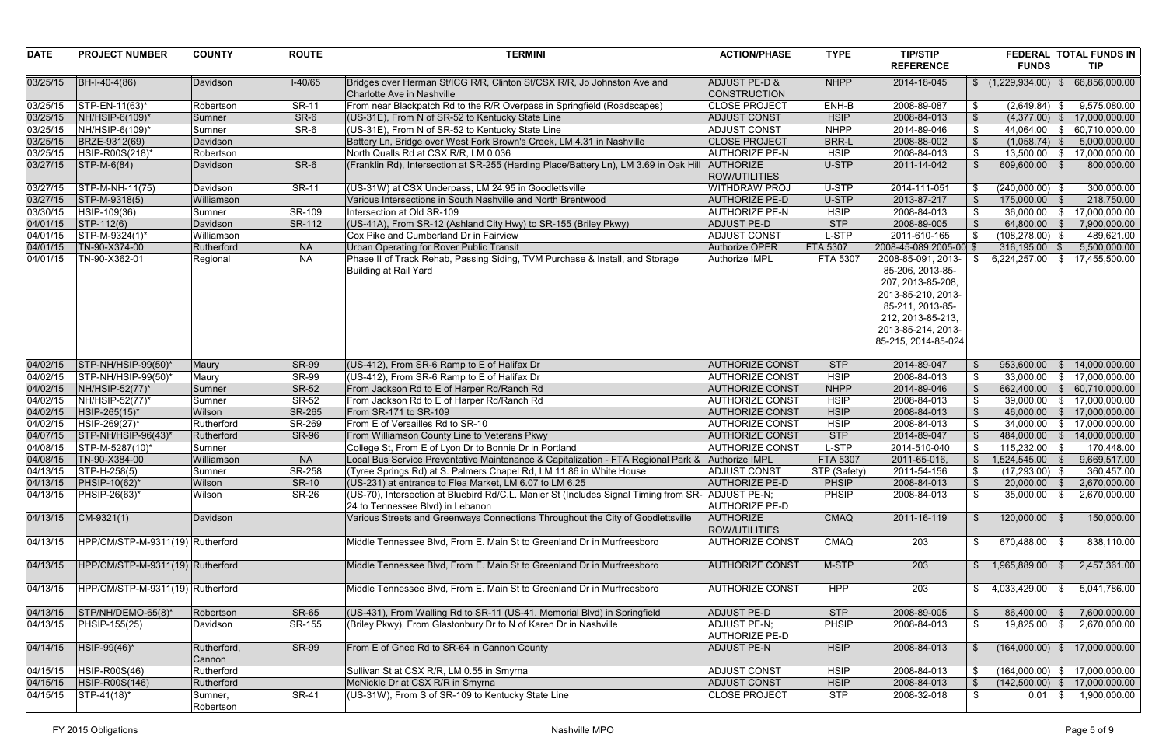| <b>DATE</b> | <b>PROJECT NUMBER</b>            | <b>COUNTY</b>         | <b>ROUTE</b>  | <b>TERMINI</b>                                                                                               | <b>ACTION/PHASE</b>                      | <b>TYPE</b>     | <b>TIP/STIP</b>                                                                                                                                                         |                                  | FEDERAL TOTAL FUNDS IN          |
|-------------|----------------------------------|-----------------------|---------------|--------------------------------------------------------------------------------------------------------------|------------------------------------------|-----------------|-------------------------------------------------------------------------------------------------------------------------------------------------------------------------|----------------------------------|---------------------------------|
|             |                                  |                       |               |                                                                                                              |                                          |                 | <b>REFERENCE</b>                                                                                                                                                        | <b>FUNDS</b>                     | <b>TIP</b>                      |
| 03/25/15    | BH-I-40-4(86)                    | Davidson              | $I-40/65$     | Bridges over Herman St/ICG R/R, Clinton St/CSX R/R, Jo Johnston Ave and<br>Charlotte Ave in Nashville        | <b>ADJUST PE-D &amp;</b><br>CONSTRUCTION | <b>NHPP</b>     | 2014-18-045                                                                                                                                                             | \$(1,229,934.00)<br>$\sqrt{3}$   | 66,856,000.00                   |
| 03/25/15    | STP-EN-11(63)*                   | Robertson             | <b>SR-11</b>  | From near Blackpatch Rd to the R/R Overpass in Springfield (Roadscapes)                                      | <b>CLOSE PROJECT</b>                     | ENH-B           | 2008-89-087                                                                                                                                                             | -\$<br>$(2,649.84)$ \$           | 9,575,080.00                    |
| 03/25/15    | NH/HSIP-6(109)*                  | Sumner                | SR-6          | (US-31E), From N of SR-52 to Kentucky State Line                                                             | <b>ADJUST CONST</b>                      | <b>HSIP</b>     | 2008-84-013                                                                                                                                                             | $\sqrt[6]{3}$<br>$(4,377.00)$ \$ | 17,000,000.00                   |
| 03/25/15    | NH/HSIP-6(109)*                  | Sumner                | SR-6          | (US-31E), From N of SR-52 to Kentucky State Line                                                             | <b>ADJUST CONST</b>                      | <b>NHPP</b>     | 2014-89-046                                                                                                                                                             |                                  | 44,064.00 \$ 60,710,000.00      |
| 03/25/15    | BRZE-9312(69)                    | Davidson              |               | Battery Ln, Bridge over West Fork Brown's Creek, LM 4.31 in Nashville                                        | <b>CLOSE PROJECT</b>                     | <b>BRR-L</b>    | 2008-88-002                                                                                                                                                             | $(1,058.74)$ \$                  | 5,000,000.00                    |
| 03/25/15    | HSIP-R00S(218)*                  | Robertson             |               | North Qualls Rd at CSX R/R, LM 0.036                                                                         | <b>AUTHORIZE PE-N</b>                    | <b>HSIP</b>     | 2008-84-013                                                                                                                                                             |                                  | $13,500.00$   \$ 17,000,000.00  |
| 03/27/15    | $\vert$ STP-M-6(84)              | Davidson              | SR-6          | (Franklin Rd), Intersection at SR-255 (Harding Place/Battery Ln), LM 3.69 in Oak Hill                        | <b>AUTHORIZE</b><br><b>ROW/UTILITIES</b> | U-STP           | 2011-14-042                                                                                                                                                             | $609,600.00$ \$                  | 800,000.00                      |
| 03/27/15    | STP-M-NH-11(75)                  | Davidson              | <b>SR-11</b>  | (US-31W) at CSX Underpass, LM 24.95 in Goodlettsville                                                        | <b>WITHDRAW PROJ</b>                     | U-STP           | 2014-111-051                                                                                                                                                            | $(240,000.00)$ \$                | 300,000.00                      |
| 03/27/15    | $ STP-M-9318(5) $                | Williamson            |               | Various Intersections in South Nashville and North Brentwood                                                 | <b>AUTHORIZE PE-D</b>                    | U-STP           | 2013-87-217                                                                                                                                                             | $175,000.00$ \$                  | 218,750.00                      |
| 03/30/15    | HSIP-109(36)                     | Sumner                | SR-109        | Intersection at Old SR-109                                                                                   | <b>AUTHORIZE PE-N</b>                    | <b>HSIP</b>     | 2008-84-013                                                                                                                                                             | $36,000.00$ \$                   | 17,000,000.00                   |
| 04/01/15    | $\vert$ STP-112(6)               | Davidson              | SR-112        | (US-41A), From SR-12 (Ashland City Hwy) to SR-155 (Briley Pkwy)                                              | <b>ADJUST PE-D</b>                       | <b>STP</b>      | 2008-89-005                                                                                                                                                             | $64,800.00$ \$                   | 7,900,000.00                    |
| 04/01/15    | STP-M-9324(1)*                   | Williamson            |               | Cox Pike and Cumberland Dr in Fairview                                                                       | <b>ADJUST CONST</b>                      | L-STP           | 2011-610-165                                                                                                                                                            | $(108, 278.00)$ \$               | 489,621.00                      |
| 04/01/15    | TN-90-X374-00                    | Rutherford            | <b>NA</b>     | Urban Operating for Rover Public Transit                                                                     | Authorize OPER                           | <b>FTA 5307</b> | 2008-45-089,2005-00 \$                                                                                                                                                  | $316, 195.00$ \ \$               | 5,500,000.00                    |
| 04/01/15    | TN-90-X362-01                    | Regional              | <b>NA</b>     | Phase II of Track Rehab, Passing Siding, TVM Purchase & Install, and Storage<br><b>Building at Rail Yard</b> | Authorize IMPL                           | FTA 5307        | 2008-85-091, 2013-<br>85-206, 2013-85-<br>207, 2013-85-208,<br>2013-85-210, 2013-<br>85-211, 2013-85-<br>212, 2013-85-213,<br>2013-85-214, 2013-<br>85-215, 2014-85-024 | $6,224,257.00$ \$                | 17,455,500.00                   |
| 04/02/15    | STP-NH/HSIP-99(50)*              | Maury                 | <b>SR-99</b>  | (US-412), From SR-6 Ramp to E of Halifax Dr                                                                  | <b>AUTHORIZE CONST</b>                   | <b>STP</b>      | 2014-89-047                                                                                                                                                             | $953,600.00$ \$                  | 14,000,000.00                   |
| 04/02/15    | STP-NH/HSIP-99(50)*              | Maury                 | <b>SR-99</b>  | (US-412), From SR-6 Ramp to E of Halifax Dr                                                                  | <b>AUTHORIZE CONST</b>                   | <b>HSIP</b>     | 2008-84-013                                                                                                                                                             |                                  | $33,000.00$   \$ 17,000,000.00  |
| 04/02/15    | NH/HSIP-52(77)*                  | Sumner                | <b>SR-52</b>  | From Jackson Rd to E of Harper Rd/Ranch Rd                                                                   | <b>AUTHORIZE CONST</b>                   | <b>NHPP</b>     | 2014-89-046                                                                                                                                                             | $662,400.00$ \$                  | 60,710,000.00                   |
| 04/02/15    | NH/HSIP-52(77)*                  | Sumner                | <b>SR-52</b>  | From Jackson Rd to E of Harper Rd/Ranch Rd                                                                   | <b>AUTHORIZE CONST</b>                   | <b>HSIP</b>     | 2008-84-013                                                                                                                                                             |                                  | 39,000.00   \$ 17,000,000.00    |
| 04/02/15    | HSIP-265(15)*                    | Wilson                | <b>SR-265</b> | From SR-171 to SR-109                                                                                        | <b>AUTHORIZE CONST</b>                   | <b>HSIP</b>     | 2008-84-013                                                                                                                                                             | $46,000.00$ \$                   | 17,000,000.00                   |
| 04/02/15    | HSIP-269(27)*                    | Rutherford            | SR-269        | From E of Versailles Rd to SR-10                                                                             | <b>AUTHORIZE CONST</b>                   | <b>HSIP</b>     | 2008-84-013                                                                                                                                                             |                                  | $34,000.00$   \$ 17,000,000.00  |
| 04/07/15    | $ STP-NH/HSIP-96(43)*$           | Rutherford            | <b>SR-96</b>  | From Williamson County Line to Veterans Pkwy                                                                 | <b>AUTHORIZE CONST</b>                   | <b>STP</b>      | 2014-89-047                                                                                                                                                             |                                  | 484,000.00 \$ 14,000,000.00     |
| 04/08/15    | $ STP-M-5287(10)^*$              | Sumner                |               | College St, From E of Lyon Dr to Bonnie Dr in Portland                                                       | <b>AUTHORIZE CONST</b>                   | L-STP           | 2014-510-040                                                                                                                                                            | $115,232.00$ \$                  | 170,448.00                      |
| 04/08/15    | TN-90-X384-00                    | Williamson            | <b>NA</b>     | Local Bus Service Preventative Maintenance & Capitalization - FTA Regional Park &                            | Authorize IMPL                           | <b>FTA 5307</b> | 2011-65-016,                                                                                                                                                            | $1,524,545.00$ \ \$              | 9,669,517.00                    |
|             | $ 04/13/15 $ STP-H-258(5)        | Sumner                | <b>SR-258</b> | (Tyree Springs Rd) at S. Palmers Chapel Rd, LM 11.86 in White House                                          | <b>ADJUST CONST</b>                      | STP (Safety)    | 2011-54-156                                                                                                                                                             | $(17,293.00)$ \$<br>_ፍ           | 360,457.00                      |
| 04/13/15    | $ PHSIP-10(62)^*$                | Wilson                | <b>SR-10</b>  | (US-231) at entrance to Flea Market, LM 6.07 to LM 6.25                                                      | <b>AUTHORIZE PE-D</b>                    | <b>PHSIP</b>    | 2008-84-013                                                                                                                                                             | -\$<br>$20,000.00$ \$            | 2,670,000.00                    |
| 04/13/15    | $PHSIP-26(63)$ *                 | Wilson                | <b>SR-26</b>  | (US-70), Intersection at Bluebird Rd/C.L. Manier St (Includes Signal Timing from SR- ADJUST PE-N;            |                                          | <b>PHSIP</b>    | 2008-84-013                                                                                                                                                             | $35,000.00$ \$                   | 2,670,000.00                    |
|             |                                  |                       |               | 24 to Tennessee Blvd) in Lebanon                                                                             | <b>AUTHORIZE PE-D</b>                    |                 |                                                                                                                                                                         |                                  |                                 |
| 04/13/15    | $ CM-9321(1) $                   | Davidson              |               | Various Streets and Greenways Connections Throughout the City of Goodlettsville                              | <b>AUTHORIZE</b><br><b>ROW/UTILITIES</b> | <b>CMAQ</b>     | 2011-16-119                                                                                                                                                             | $120,000.00$ \$                  | 150,000.00                      |
| 04/13/15    | HPP/CM/STP-M-9311(19) Rutherford |                       |               | Middle Tennessee Blvd, From E. Main St to Greenland Dr in Murfreesboro                                       | <b>AUTHORIZE CONST</b>                   | <b>CMAQ</b>     | 203                                                                                                                                                                     | 670,488.00 \\$<br>- \$           | 838,110.00                      |
| 04/13/15    | HPP/CM/STP-M-9311(19) Rutherford |                       |               | Middle Tennessee Blvd, From E. Main St to Greenland Dr in Murfreesboro                                       | <b>AUTHORIZE CONST</b>                   | M-STP           | 203                                                                                                                                                                     | 1,965,889.00<br>- S              | 2,457,361.00                    |
| 04/13/15    | HPP/CM/STP-M-9311(19) Rutherford |                       |               | Middle Tennessee Blvd, From E. Main St to Greenland Dr in Murfreesboro                                       | <b>AUTHORIZE CONST</b>                   | <b>HPP</b>      | 203                                                                                                                                                                     | 4,033,429.00 \$                  | 5,041,786.00                    |
| 04/13/15    | STP/NH/DEMO-65(8)*               | Robertson             | <b>SR-65</b>  | (US-431), From Walling Rd to SR-11 (US-41, Memorial Blvd) in Springfield                                     | <b>ADJUST PE-D</b>                       | <b>STP</b>      | 2008-89-005                                                                                                                                                             | $86,400.00$ \ \$                 | 7,600,000.00                    |
| 04/13/15    | <b>PHSIP-155(25)</b>             | Davidson              | SR-155        | (Briley Pkwy), From Glastonbury Dr to N of Karen Dr in Nashville                                             | ADJUST PE-N;<br><b>AUTHORIZE PE-D</b>    | <b>PHSIP</b>    | 2008-84-013                                                                                                                                                             | $19,825.00$ \$<br>- \$           | 2,670,000.00                    |
| 04/14/15    | $ HSIP-99(46)*$                  | Rutherford,<br>Cannon | <b>SR-99</b>  | From E of Ghee Rd to SR-64 in Cannon County                                                                  | <b>ADJUST PE-N</b>                       | <b>HSIP</b>     | 2008-84-013                                                                                                                                                             | $(164,000.00)$ \$                | 17,000,000.00                   |
| 04/15/15    | <b>HSIP-R00S(46)</b>             | Rutherford            |               | Sullivan St at CSX R/R, LM 0.55 in Smyrna                                                                    | <b>ADJUST CONST</b>                      | <b>HSIP</b>     | 2008-84-013                                                                                                                                                             |                                  | $(164,000.00)$ \$ 17,000,000.00 |
| 04/15/15    | HSIP-R00S(146)                   | Rutherford            |               | McNickle Dr at CSX R/R in Smyrna                                                                             | <b>ADJUST CONST</b>                      | <b>HSIP</b>     | 2008-84-013                                                                                                                                                             | $(142,500.00)$ \$                | 17,000,000.00                   |
| 04/15/15    | $\text{STP-41}(18)^*$            | Sumner,<br>Robertson  | <b>SR-41</b>  | (US-31W), From S of SR-109 to Kentucky State Line                                                            | <b>CLOSE PROJECT</b>                     | <b>STP</b>      | 2008-32-018                                                                                                                                                             | \$<br>$0.01$ \$                  | 1,900,000.00                    |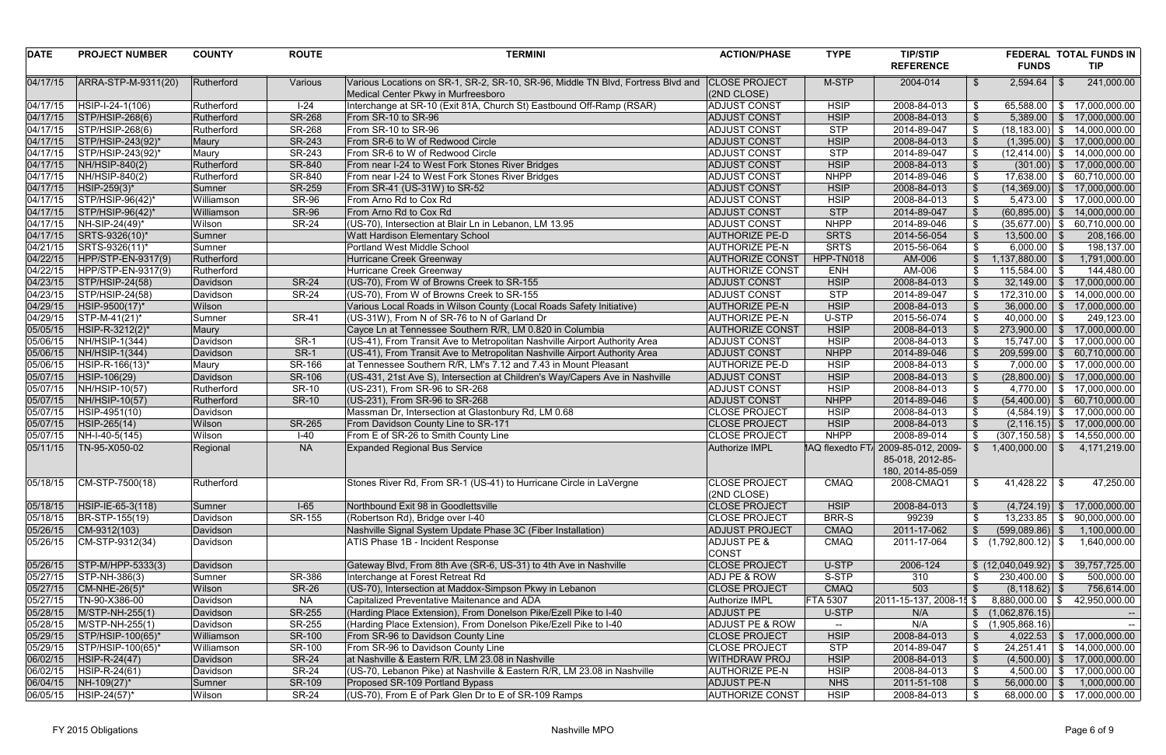| <b>DATE</b>          | <b>PROJECT NUMBER</b>                | <b>COUNTY</b>        | <b>ROUTE</b>            | <b>TERMINI</b>                                                                                                                       | <b>ACTION/PHASE</b>                            | <b>TYPE</b>                             | <b>TIP/STIP</b>                    |                                        | FEDERAL TOTAL FUNDS IN           |
|----------------------|--------------------------------------|----------------------|-------------------------|--------------------------------------------------------------------------------------------------------------------------------------|------------------------------------------------|-----------------------------------------|------------------------------------|----------------------------------------|----------------------------------|
|                      |                                      |                      |                         |                                                                                                                                      |                                                |                                         | <b>REFERENCE</b>                   | <b>FUNDS</b>                           | <b>TIP</b>                       |
| 04/17/15             | ARRA-STP-M-9311(20)                  | Rutherford           | Various                 | Various Locations on SR-1, SR-2, SR-10, SR-96, Middle TN Blvd, Fortress Blvd and                                                     | <b>CLOSE PROJECT</b>                           | M-STP                                   | 2004-014                           | $2,594.64$ \$<br>$\mathfrak{S}$        | 241,000.00                       |
|                      |                                      |                      |                         | Medical Center Pkwy in Murfreesboro                                                                                                  | (2ND CLOSE)                                    |                                         |                                    |                                        |                                  |
| 04/17/15             | HSIP-I-24-1(106)                     | Rutherford           | $I-24$                  | Interchange at SR-10 (Exit 81A, Church St) Eastbound Off-Ramp (RSAR)                                                                 | <b>ADJUST CONST</b>                            | <b>HSIP</b>                             | 2008-84-013                        | -\$                                    | 65,588.00 \$ 17,000,000.00       |
| 04/17/15             | $\left $ STP/HSIP-268(6)             | Rutherford           | <b>SR-268</b>           | From SR-10 to SR-96                                                                                                                  | <b>ADJUST CONST</b>                            | <b>HSIP</b>                             | 2008-84-013                        | $\sqrt[6]{2}$<br>$5,389.00$ \$         | 17,000,000.00                    |
| 04/17/15             | $\left $ STP/HSIP-268(6)             | Rutherford           | SR-268                  | From SR-10 to SR-96                                                                                                                  | <b>ADJUST CONST</b>                            | <b>STP</b>                              | 2014-89-047<br>-\$                 |                                        | $(18, 183.00)$ \$ 14,000,000.00  |
| 04/17/15             | STP/HSIP-243(92)*                    | Maury                | <b>SR-243</b>           | From SR-6 to W of Redwood Circle                                                                                                     | <b>ADJUST CONST</b>                            | <b>HSIP</b>                             | 2008-84-013<br>$\sqrt{3}$          |                                        | $(1,395.00)$ \$ 17,000,000.00    |
| 04/17/15             | STP/HSIP-243(92)*                    | Maury                | SR-243                  | From SR-6 to W of Redwood Circle                                                                                                     | <b>ADJUST CONST</b>                            | <b>STP</b>                              | 2014-89-047<br>-\$                 |                                        | $(12, 414.00)$ \$ 14,000,000.00  |
| 04/17/15             | $N$ H/HSIP-840(2)                    | Rutherford           | SR-840                  | From near I-24 to West Fork Stones River Bridges                                                                                     | <b>ADJUST CONST</b>                            | <b>HSIP</b>                             | 2008-84-013<br>$\sqrt{3}$          |                                        | $(301.00)$ \$ 17,000,000.00      |
| 04/17/15             | $NH/HSIP-840(2)$                     | Rutherford           | SR-840                  | From near I-24 to West Fork Stones River Bridges                                                                                     | <b>ADJUST CONST</b>                            | <b>NHPP</b>                             | 2014-89-046                        |                                        | $17,638.00$ \$ 60,710,000.00     |
| 04/17/15             | HSIP-259(3)*                         | Sumner               | <b>SR-259</b>           | From SR-41 (US-31W) to SR-52                                                                                                         | <b>ADJUST CONST</b>                            | <b>HSIP</b>                             | 2008-84-013                        |                                        | $(14,369.00)$ \$ 17,000,000.00   |
| 04/17/15             | STP/HSIP-96(42)*                     | Williamson           | <b>SR-96</b>            | From Arno Rd to Cox Rd                                                                                                               | <b>ADJUST CONST</b>                            | <b>HSIP</b>                             | 2008-84-013                        |                                        | 5,473.00 \$ 17,000,000.00        |
| 04/17/15             | $\left \right.$ STP/HSIP-96(42)*     | Williamson           | <b>SR-96</b>            | From Arno Rd to Cox Rd                                                                                                               | <b>ADJUST CONST</b>                            | <b>STP</b>                              | 2014-89-047<br>්                   |                                        | $(60,895.00)$ \$ 14,000,000.00   |
| 04/17/15             | NH-SIP-24(49)*                       | Wilson               | <b>SR-24</b>            | (US-70), Intersection at Blair Ln in Lebanon, LM 13.95                                                                               | <b>ADJUST CONST</b>                            | <b>NHPP</b>                             | 2014-89-046                        |                                        | $(35,677.00)$ \$ 60,710,000.00   |
| 04/17/15             | SRTS-9326(10)*                       | Sumner               |                         | Watt Hardison Elementary School                                                                                                      | <b>AUTHORIZE PE-D</b>                          | <b>SRTS</b>                             | 2014-56-054                        | $13,500.00$ \$                         | 208,166.00                       |
| 04/21/15             | SRTS-9326(11)*                       | Sumner               |                         | Portland West Middle School                                                                                                          | <b>AUTHORIZE PE-N</b>                          | <b>SRTS</b>                             | 2015-56-064                        | $6,000.00$ \$                          | 198,137.00                       |
| 04/22/15             | HPP/STP-EN-9317(9)                   | Rutherford           |                         | Hurricane Creek Greenway                                                                                                             | <b>AUTHORIZE CONST</b>                         | HPP-TN018                               | AM-006                             | $1,137,880.00$ \ \$                    | 1,791,000.00                     |
| 04/22/15             | HPP/STP-EN-9317(9)                   | Rutherford           |                         | Hurricane Creek Greenway                                                                                                             | <b>AUTHORIZE CONST</b>                         | <b>ENH</b>                              | AM-006                             | $115,584.00$ \$                        | 144,480.00                       |
| 04/23/15             | $\vert$ STP/HSIP-24(58)              | Davidson             | <b>SR-24</b>            | (US-70), From W of Browns Creek to SR-155                                                                                            | <b>ADJUST CONST</b>                            | <b>HSIP</b>                             | 2008-84-013                        |                                        | $32,149.00$ \$ 17,000,000.00     |
| 04/23/15             | STP/HSIP-24(58)                      | Davidson             | <b>SR-24</b>            | (US-70), From W of Browns Creek to SR-155                                                                                            | <b>ADJUST CONST</b>                            | <b>STP</b>                              | 2014-89-047                        |                                        | $172,310.00$ \$ 14,000,000.00    |
| 04/29/15             | HSIP-9500(17)*                       | Wilson               |                         | Various Local Roads in Wilson County (Local Roads Safety Initiative)                                                                 | <b>AUTHORIZE PE-N</b>                          | <b>HSIP</b>                             | 2008-84-013                        | \$<br>$36,000.00$ \$                   | 17,000,000.00                    |
| 04/29/15             | STP-M-41(21)*                        | Sumner               | <b>SR-41</b>            | (US-31W), From N of SR-76 to N of Garland Dr                                                                                         | <b>AUTHORIZE PE-N</b>                          | U-STP                                   | 2015-56-074                        | $40,000.00$ \$                         | 249,123.00                       |
| 05/05/15             | HSIP-R-3212(2)*                      | Maury                |                         | Cayce Ln at Tennessee Southern R/R, LM 0.820 in Columbia                                                                             | <b>AUTHORIZE CONST</b>                         | <b>HSIP</b>                             | 2008-84-013                        | $273,900.00$ \$                        | 17,000,000.00                    |
| 05/06/15             | NH/HSIP-1(344)                       | Davidson             | SR-1                    | (US-41), From Transit Ave to Metropolitan Nashville Airport Authority Area                                                           | <b>ADJUST CONST</b>                            | <b>HSIP</b>                             | 2008-84-013                        |                                        | 15,747.00 \$ 17,000,000.00       |
| 05/06/15             | $NH/HSIP-1(344)$                     | Davidson             | SR-1                    | (US-41), From Transit Ave to Metropolitan Nashville Airport Authority Area                                                           | <b>ADJUST CONST</b>                            | <b>NHPP</b>                             | 2014-89-046                        | $209,599.00$ \$                        | 60,710,000.00                    |
| 05/06/15             | HSIP-R-166(13)*                      | Maury                | SR-166                  | at Tennessee Southern R/R, LM's 7.12 and 7.43 in Mount Pleasant                                                                      | <b>AUTHORIZE PE-D</b>                          | <b>HSIP</b>                             | 2008-84-013                        | \$                                     | 7,000.00 \$ 17,000,000.00        |
| 05/07/15             | HSIP-106(29)                         | Davidson             | <b>SR-106</b>           | (US-431, 21st Ave S), Intersection at Children's Way/Capers Ave in Nashville                                                         | <b>ADJUST CONST</b>                            | <b>HSIP</b>                             | 2008-84-013                        | $(28,800.00)$ \$                       | 17,000,000.00                    |
| 05/07/15             | NH/HSIP-10(57)                       | Rutherford           | <b>SR-10</b>            | (US-231), From SR-96 to SR-268                                                                                                       | <b>ADJUST CONST</b>                            | <b>HSIP</b>                             | 2008-84-013                        | \$                                     | 4,770.00 \$ 17,000,000.00        |
| 05/07/15             | NH/HSIP-10(57)                       | Rutherford           | <b>SR-10</b>            | (US-231), From SR-96 to SR-268                                                                                                       | <b>ADJUST CONST</b>                            | <b>NHPP</b>                             | 2014-89-046                        | $(54,400.00)$ \$                       | 60,710,000.00                    |
| 05/07/15             | HSIP-4951(10)                        | Davidson             |                         | Massman Dr, Intersection at Glastonbury Rd, LM 0.68                                                                                  | <b>CLOSE PROJECT</b>                           | <b>HSIP</b>                             | 2008-84-013<br>-\$                 |                                        | $(4,584.19)$ \$ 17,000,000.00    |
| 05/07/15             | HSIP-265(14)                         | Wilson               | SR-265                  | From Davidson County Line to SR-171                                                                                                  | <b>CLOSE PROJECT</b>                           | <b>HSIP</b>                             | 2008-84-013                        |                                        | $(2, 116.15)$ \$ 17,000,000.00   |
| 05/07/15             | NH-I-40-5(145)                       | Wilson               | $I-40$                  | From E of SR-26 to Smith County Line                                                                                                 | <b>CLOSE PROJECT</b>                           | <b>NHPP</b>                             | 2008-89-014                        |                                        | $(307, 150.58)$ \$ 14,550,000.00 |
| 05/11/15             | TN-95-X050-02                        | Regional             | <b>NA</b>               | <b>Expanded Regional Bus Service</b>                                                                                                 | <b>Authorize IMPL</b>                          |                                         | MAQ flexedto FT 2009-85-012, 2009- | $1,400,000.00$ \ \$                    | 4,171,219.00                     |
|                      |                                      |                      |                         |                                                                                                                                      |                                                |                                         | 85-018, 2012-85-                   |                                        |                                  |
|                      |                                      |                      |                         |                                                                                                                                      |                                                |                                         | 180, 2014-85-059                   |                                        |                                  |
| 05/18/15             | $ CM-STP-7500(18) $                  | Rutherford           |                         | Stones River Rd, From SR-1 (US-41) to Hurricane Circle in LaVergne                                                                   | <b>CLOSE PROJECT</b>                           | <b>CMAQ</b>                             | 2008-CMAQ1                         | $41,428.22$ \$<br>\$                   | 47,250.00                        |
|                      |                                      |                      |                         |                                                                                                                                      | (2ND CLOSE)                                    |                                         |                                    |                                        |                                  |
| 05/18/15             | HSIP-IE-65-3(118)                    | Sumner               | $I-65$                  | Northbound Exit 98 in Goodlettsville                                                                                                 | <b>CLOSE PROJECT</b>                           | <b>HSIP</b>                             | 2008-84-013<br>-\$                 | $(4,724.19)$ \$                        | 17,000,000.00                    |
| 05/18/15             | BR-STP-155(19)                       | Davidson             | SR-155                  | (Robertson Rd), Bridge over I-40                                                                                                     | <b>CLOSE PROJECT</b>                           | <b>BRR-S</b>                            | 99239                              | $13,233.85$ \$                         | 90,000,000.00                    |
| 05/26/15             | $ CM-9312(103) $                     | Davidson             |                         | Nashville Signal System Update Phase 3C (Fiber Installation)                                                                         | <b>ADJUST PROJECT</b>                          | <b>CMAQ</b>                             | 2011-17-062<br>-\$                 | $(599,089.86)$ \$                      | 1,100,000.00                     |
| 05/26/15             | CM-STP-9312(34)                      | Davidson             |                         | ATIS Phase 1B - Incident Response                                                                                                    | <b>ADJUST PE &amp;</b>                         | <b>CMAQ</b>                             | 2011-17-064                        | $\frac{1}{2}$ (1,792,800.12) \$        | 1,640,000.00                     |
|                      |                                      |                      |                         |                                                                                                                                      | CONST                                          |                                         |                                    |                                        |                                  |
| 05/26/15             | $\vert$ STP-M/HPP-5333(3)            | Davidson             |                         | Gateway Blvd, From 8th Ave (SR-6, US-31) to 4th Ave in Nashville                                                                     | <b>CLOSE PROJECT</b>                           | U-STP                                   | 2006-124                           | \$ (12,040,049.92) \$ \$ 39,757,725.00 |                                  |
| 05/27/15             | $\vert$ STP-NH-386(3)                | Sumner               | SR-386                  | Interchange at Forest Retreat Rd                                                                                                     | ADJ PE & ROW                                   | S-STP                                   | 310                                | $230,400.00$ \$                        | 500,000.00                       |
| 05/27/15             | $ CM-NHE-26(5)*$                     | Wilson               | <b>SR-26</b>            | (US-70), Intersection at Maddox-Simpson Pkwy in Lebanon                                                                              | <b>CLOSE PROJECT</b>                           | <b>CMAQ</b>                             | 503                                | $(8, 118.62)$ \$                       | 756,614.00                       |
| 05/27/15             | TN-90-X386-00                        | Davidson             | <b>NA</b>               | Capitalized Preventative Maitenance and ADA                                                                                          | <b>Authorize IMPL</b>                          | <b>FTA 5307</b>                         | 2011-15-137, 2008-15 \$            | $8,880,000.00$ \$                      | 42,950,000.00                    |
| 05/28/15             | M/STP-NH-255(1)                      | Davidson<br>Davidson | <b>SR-255</b><br>SR-255 | (Harding Place Extension), From Donelson Pike/Ezell Pike to I-40<br>(Harding Place Extension), From Donelson Pike/Ezell Pike to I-40 | <b>ADJUST PE</b><br><b>ADJUST PE &amp; ROW</b> | U-STP                                   | N/A<br>N/A                         | \$(1,062,876.15)                       | $\sim$                           |
| 05/28/15<br>05/29/15 | M/STP-NH-255(1)<br>STP/HSIP-100(65)* | Williamson           | <b>SR-100</b>           | From SR-96 to Davidson County Line                                                                                                   | <b>CLOSE PROJECT</b>                           | $\overline{\phantom{a}}$<br><b>HSIP</b> | 2008-84-013                        | \$(1,905,868.16)                       | $4,022.53$ \$ 17,000,000.00      |
| 05/29/15             | STP/HSIP-100(65)*                    | Williamson           | SR-100                  | From SR-96 to Davidson County Line                                                                                                   | <b>CLOSE PROJECT</b>                           | <b>STP</b>                              | 2014-89-047                        |                                        | $24,251.41$ \$ 14,000,000.00     |
| 06/02/15             | $ HSIP-R-24(47) $                    | Davidson             | <b>SR-24</b>            | at Nashville & Eastern R/R, LM 23.08 in Nashville                                                                                    | <b>WITHDRAW PROJ</b>                           | <b>HSIP</b>                             | 2008-84-013<br>- \$                |                                        | $(4,500.00)$ \$ 17,000,000.00    |
| 06/02/15             | HSIP-R-24(61)                        | Davidson             | <b>SR-24</b>            | (US-70, Lebanon Pike) at Nashville & Eastern R/R, LM 23.08 in Nashville                                                              | <b>AUTHORIZE PE-N</b>                          | <b>HSIP</b>                             | 2008-84-013                        | \$                                     | 4,500.00 \$ 17,000,000.00        |
| 06/04/15             | $NH-109(27)^*$                       | Sumner               | SR-109                  | Proposed SR-109 Portland Bypass                                                                                                      | <b>ADJUST PE-N</b>                             | <b>NHS</b>                              | 2011-51-108                        | $56,000.00$ \$                         | 1,000,000.00                     |
| 06/05/15             | HSIP-24(57)*                         | Wilson               | <b>SR-24</b>            | (US-70), From E of Park Glen Dr to E of SR-109 Ramps                                                                                 | <b>AUTHORIZE CONST</b>                         | <b>HSIP</b>                             | 2008-84-013                        | \$                                     | 68,000.00 \$ 17,000,000.00       |
|                      |                                      |                      |                         |                                                                                                                                      |                                                |                                         |                                    |                                        |                                  |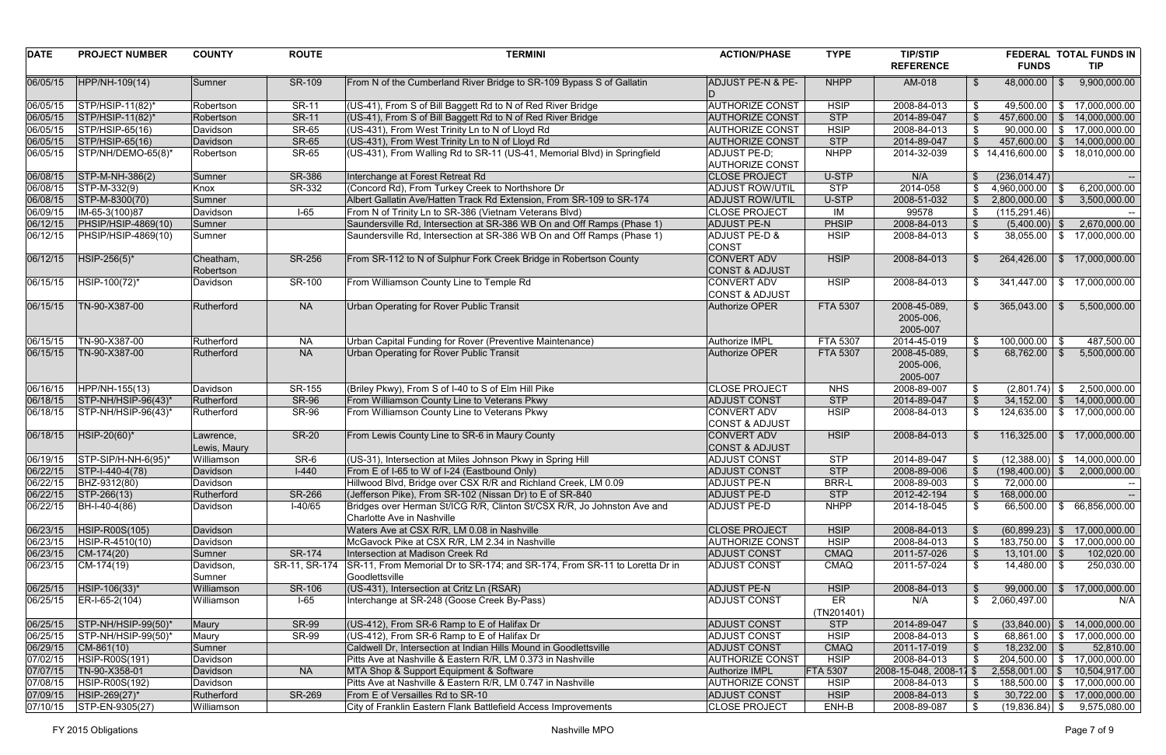| <b>DATE</b>          | <b>PROJECT NUMBER</b>               | <b>COUNTY</b> | <b>ROUTE</b>  | <b>TERMINI</b>                                                             | <b>ACTION/PHASE</b>       | <b>TYPE</b>      | <b>TIP/STIP</b>                  |                                               |                | FEDERAL TOTAL FUNDS IN          |
|----------------------|-------------------------------------|---------------|---------------|----------------------------------------------------------------------------|---------------------------|------------------|----------------------------------|-----------------------------------------------|----------------|---------------------------------|
|                      |                                     |               |               |                                                                            |                           |                  | <b>REFERENCE</b>                 | <b>FUNDS</b>                                  |                | <b>TIP</b>                      |
| 06/05/15             | HPP/NH-109(14)                      | Sumner        | SR-109        | From N of the Cumberland River Bridge to SR-109 Bypass S of Gallatin       | ADJUST PE-N & PE-<br>D    | <b>NHPP</b>      | AM-018                           | $48,000.00$ \$<br>- \$                        |                | 9,900,000.00                    |
|                      | STP/HSIP-11(82)*                    | Robertson     | <b>SR-11</b>  | (US-41), From S of Bill Baggett Rd to N of Red River Bridge                | <b>AUTHORIZE CONST</b>    | <b>HSIP</b>      | 2008-84-013                      | $49,500.00$ \$                                |                | 17,000,000.00                   |
| 06/05/15<br>06/05/15 | STP/HSIP-11(82)*                    | Robertson     | <b>SR-11</b>  | (US-41), From S of Bill Baggett Rd to N of Red River Bridge                | <b>AUTHORIZE CONST</b>    | <b>STP</b>       | 2014-89-047                      | $457,600.00$ \$                               |                | 14,000,000.00                   |
| 06/05/15             | $STP/HSIP-65(16)$                   | Davidson      | <b>SR-65</b>  | (US-431), From West Trinity Ln to N of Lloyd Rd                            | <b>AUTHORIZE CONST</b>    | <b>HSIP</b>      | 2008-84-013                      | $90,000.00$ \$<br>- \$                        |                | 17,000,000.00                   |
| 06/05/15             | $\left $ STP/HSIP-65(16)            | Davidson      | <b>SR-65</b>  | (US-431), From West Trinity Ln to N of Lloyd Rd                            | <b>AUTHORIZE CONST</b>    | <b>STP</b>       | 2014-89-047                      | $457,600.00$ \$                               |                | 14,000,000.00                   |
| 06/05/15             | STP/NH/DEMO-65(8)*                  | Robertson     | <b>SR-65</b>  | (US-431), From Walling Rd to SR-11 (US-41, Memorial Blvd) in Springfield   | ADJUST PE-D;              | <b>NHPP</b>      | 2014-32-039                      | $$14,416,600.00$ \ \$                         |                | 18,010,000.00                   |
|                      |                                     |               |               |                                                                            | <b>AUTHORIZE CONST</b>    |                  |                                  |                                               |                |                                 |
| 06/08/15             | STP-M-NH-386(2)                     | Sumner        | <b>SR-386</b> | Interchange at Forest Retreat Rd                                           | <b>CLOSE PROJECT</b>      | U-STP            | N/A                              | (236, 014.47)                                 |                |                                 |
| 06/08/15             | STP-M-332(9)                        | Knox          | SR-332        | (Concord Rd), From Turkey Creek to Northshore Dr                           | <b>ADJUST ROW/UTIL</b>    | <b>STP</b>       | 2014-058                         | $4,960,000.00$ \$                             |                | 6,200,000.00                    |
| 06/08/15             | STP-M-8300(70)                      | Sumner        |               | Albert Gallatin Ave/Hatten Track Rd Extension, From SR-109 to SR-174       | <b>ADJUST ROW/UTIL</b>    | U-STP            | 2008-51-032                      | $2,800,000.00$ \$                             |                | 3,500,000.00                    |
| 06/09/15             | IM-65-3(100)87                      | Davidson      | $I-65$        | From N of Trinity Ln to SR-386 (Vietnam Veterans Blvd)                     | <b>CLOSE PROJECT</b>      | IM               | 99578                            | (115, 291.46)<br>-\$                          |                |                                 |
| 06/12/15             | PHSIP/HSIP-4869(10)                 | Sumner        |               | Saundersville Rd, Intersection at SR-386 WB On and Off Ramps (Phase 1)     | <b>ADJUST PE-N</b>        | <b>PHSIP</b>     | 2008-84-013                      | $\boldsymbol{\mathsf{\$}}$<br>$(5,400.00)$ \$ |                | 2,670,000.00                    |
| 06/12/15             | PHSIP/HSIP-4869(10)                 | Sumner        |               | Saundersville Rd, Intersection at SR-386 WB On and Off Ramps (Phase 1)     | <b>ADJUST PE-D &amp;</b>  | <b>HSIP</b>      | 2008-84-013                      | -\$<br>38,055.00                              | \$             | 17,000,000.00                   |
|                      |                                     |               |               |                                                                            | <b>CONST</b>              |                  |                                  |                                               |                |                                 |
| 06/12/15             | HSIP-256(5)*                        | Cheatham,     | <b>SR-256</b> | From SR-112 to N of Sulphur Fork Creek Bridge in Robertson County          | <b>CONVERT ADV</b>        | <b>HSIP</b>      | 2008-84-013                      |                                               |                | 264,426.00 \$ 17,000,000.00     |
|                      |                                     | Robertson     |               |                                                                            | <b>CONST &amp; ADJUST</b> |                  |                                  |                                               |                |                                 |
| 06/15/15             | HSIP-100(72)*                       | Davidson      | SR-100        | From Williamson County Line to Temple Rd                                   | <b>CONVERT ADV</b>        | <b>HSIP</b>      | 2008-84-013                      |                                               |                | $341,447.00$ \$ 17,000,000.00   |
|                      |                                     |               |               |                                                                            | <b>CONST &amp; ADJUST</b> |                  |                                  |                                               |                |                                 |
| 06/15/15             | TN-90-X387-00                       | Rutherford    | <b>NA</b>     | <b>Urban Operating for Rover Public Transit</b>                            | Authorize OPER            | <b>FTA 5307</b>  | 2008-45-089,                     | $365,043.00$ \$<br>-S                         |                | 5,500,000.00                    |
|                      |                                     |               |               |                                                                            |                           |                  | 2005-006,                        |                                               |                |                                 |
|                      |                                     |               |               |                                                                            |                           |                  | 2005-007                         |                                               |                |                                 |
| 06/15/15             | TN-90-X387-00                       | Rutherford    | <b>NA</b>     | Urban Capital Funding for Rover (Preventive Maintenance)                   | Authorize IMPL            | FTA 5307         | 2014-45-019                      | $100,000.00$ \$<br>- \$                       |                | 487,500.00                      |
| 06/15/15             | TN-90-X387-00                       | Rutherford    | <b>NA</b>     | Urban Operating for Rover Public Transit                                   | Authorize OPER            | FTA 5307         | 2008-45-089,                     | $68,762.00$ \$<br>- \$                        |                | 5,500,000.00                    |
|                      |                                     |               |               |                                                                            |                           |                  | 2005-006,                        |                                               |                |                                 |
|                      |                                     |               |               |                                                                            |                           |                  | 2005-007                         |                                               |                |                                 |
| 06/16/15             | HPP/NH-155(13)                      | Davidson      | SR-155        | (Briley Pkwy), From S of I-40 to S of Elm Hill Pike                        | <b>CLOSE PROJECT</b>      | <b>NHS</b>       | 2008-89-007                      | $(2,801.74)$ \$                               |                | 2,500,000.00                    |
| 06/18/15             | $\left \right.$ STP-NH/HSIP-96(43)* | Rutherford    | <b>SR-96</b>  | From Williamson County Line to Veterans Pkwy                               | <b>ADJUST CONST</b>       | <b>STP</b>       | 2014-89-047                      | $34,152.00$ \$                                |                | 14,000,000.00                   |
| 06/18/15             | STP-NH/HSIP-96(43)*                 | Rutherford    | <b>SR-96</b>  | From Williamson County Line to Veterans Pkwy                               | <b>CONVERT ADV</b>        | <b>HSIP</b>      | 2008-84-013                      | 124,635.00                                    | \$             | 17,000,000.00                   |
|                      |                                     |               |               |                                                                            | <b>CONST &amp; ADJUST</b> |                  |                                  |                                               |                |                                 |
| 06/18/15             | HSIP-20(60)*                        | Lawrence,     | <b>SR-20</b>  | From Lewis County Line to SR-6 in Maury County                             | <b>CONVERT ADV</b>        | <b>HSIP</b>      | 2008-84-013                      | 116,325.00                                    | $\mathfrak{S}$ | 17,000,000.00                   |
|                      |                                     | Lewis, Maury  |               |                                                                            | <b>CONST &amp; ADJUST</b> |                  |                                  |                                               |                |                                 |
| 06/19/15             | $\left \right.$ STP-SIP/H-NH-6(95)* | Williamson    | SR-6          | (US-31), Intersection at Miles Johnson Pkwy in Spring Hill                 | <b>ADJUST CONST</b>       | <b>STP</b>       | 2014-89-047                      |                                               |                | $(12,388.00)$ \$ 14,000,000.00  |
|                      | 06/22/15   STP-I-440-4(78)          | Davidson      | $I-440$       | From E of I-65 to W of I-24 (Eastbound Only)                               | <b>ADJUST CONST</b>       | <b>STP</b>       | 2008-89-006                      | $\boldsymbol{\mathsf{\$}}$                    |                | $(198,400.00)$ \$ 2,000,000.00  |
| 06/22/15             | BHZ-9312(80)                        | Davidson      |               | Hillwood Blvd, Bridge over CSX R/R and Richland Creek, LM 0.09             | <b>ADJUST PE-N</b>        | <b>BRR-L</b>     | 2008-89-003                      | 72,000.00                                     |                | $\sim$                          |
| 06/22/15             | $ STP-266(13) $                     | Rutherford    | <b>SR-266</b> | (Jefferson Pike), From SR-102 (Nissan Dr) to E of SR-840                   | <b>ADJUST PE-D</b>        | <b>STP</b>       | 2012-42-194                      | 168,000.00                                    |                |                                 |
| 06/22/15             | BH-I-40-4(86)                       | Davidson      | $I-40/65$     | Bridges over Herman St/ICG R/R, Clinton St/CSX R/R, Jo Johnston Ave and    | <b>ADJUST PE-D</b>        | <b>NHPP</b>      | 2014-18-045                      | - \$                                          |                | 66,500.00 \$ 66,856,000.00      |
|                      |                                     |               |               | Charlotte Ave in Nashville                                                 |                           |                  |                                  |                                               |                |                                 |
| 06/23/15             | HSIP-R00S(105)                      | Davidson      |               | Waters Ave at CSX R/R, LM 0.08 in Nashville                                | <b>CLOSE PROJECT</b>      | <b>HSIP</b>      | 2008-84-013                      |                                               |                | $(60,899.23)$ \$ 17,000,000.00  |
| 06/23/15             | HSIP-R-4510(10)                     | Davidson      |               | McGavock Pike at CSX R/R, LM 2.34 in Nashville                             | <b>AUTHORIZE CONST</b>    | <b>HSIP</b>      | 2008-84-013                      | $183,750.00$ \$                               |                | 17,000,000.00                   |
| 06/23/15             | $ CM-174(20) $                      | Sumner        | <b>SR-174</b> | Intersection at Madison Creek Rd                                           | <b>ADJUST CONST</b>       | <b>CMAQ</b>      | 2011-57-026                      | $13,101.00$ \$<br>- \$                        |                | 102,020.00                      |
| 06/23/15             | $ CM-174(19) $                      | Davidson,     | SR-11, SR-174 | SR-11, From Memorial Dr to SR-174; and SR-174, From SR-11 to Loretta Dr in | <b>ADJUST CONST</b>       | <b>CMAQ</b>      | 2011-57-024                      | $14,480.00$ \ \$<br>- \$                      |                | 250,030.00                      |
|                      |                                     | Sumner        |               | Goodlettsville                                                             |                           |                  |                                  |                                               |                |                                 |
| 06/25/15             | $ HSIP-106(33)*$                    | Williamson    | <b>SR-106</b> | (US-431), Intersection at Critz Ln (RSAR)                                  | <b>ADJUST PE-N</b>        | <b>HSIP</b>      | 2008-84-013                      |                                               |                | $99,000.00$ \$ 17,000,000.00    |
| 06/25/15             | $ ER-I-65-2(104) $                  | Williamson    | I-65          | Interchange at SR-248 (Goose Creek By-Pass)                                | <b>ADJUST CONST</b>       | ER<br>(TN201401) | N/A                              | 2,060,497.00                                  |                | N/A                             |
| 06/25/15             | STP-NH/HSIP-99(50)*                 | Maury         | <b>SR-99</b>  | (US-412), From SR-6 Ramp to E of Halifax Dr                                | <b>ADJUST CONST</b>       | <b>STP</b>       | 2014-89-047                      |                                               |                | $(33,840.00)$ \$ 14,000,000.00  |
| 06/25/15             | STP-NH/HSIP-99(50)*                 | Maury         | <b>SR-99</b>  | (US-412), From SR-6 Ramp to E of Halifax Dr                                | <b>ADJUST CONST</b>       | <b>HSIP</b>      | 2008-84-013                      |                                               |                | 68,861.00 \$ 17,000,000.00      |
| 06/29/15             | $ CM-861(10) $                      | Sumner        |               | Caldwell Dr, Intersection at Indian Hills Mound in Goodlettsville          | <b>ADJUST CONST</b>       | <b>CMAQ</b>      | 2011-17-019                      | $18,232.00$ \$                                |                | 52,810.00                       |
| 07/02/15             | HSIP-R00S(191)                      | Davidson      |               | Pitts Ave at Nashville & Eastern R/R, LM 0.373 in Nashville                | <b>AUTHORIZE CONST</b>    | <b>HSIP</b>      | 2008-84-013                      |                                               |                | 204,500.00 \$ 17,000,000.00     |
| 07/07/15             | TN-90-X358-01                       | Davidson      | <b>NA</b>     | MTA Shop & Support Equipment & Software                                    | Authorize IMPL            | <b>FTA 5307</b>  | $ 2008-15-048, 2008-1\rangle$ \$ |                                               |                | 2,558,001.00   \$ 10,504,917.00 |
| 07/08/15             | HSIP-R00S(192)                      | Davidson      |               | Pitts Ave at Nashville & Eastern R/R, LM 0.747 in Nashville                | <b>AUTHORIZE CONST</b>    | <b>HSIP</b>      | 2008-84-013                      |                                               |                | 188,500.00 \$ 17,000,000.00     |
| 07/09/15             | HSIP-269(27)*                       | Rutherford    | <b>SR-269</b> | From E of Versailles Rd to SR-10                                           | <b>ADJUST CONST</b>       | <b>HSIP</b>      | 2008-84-013                      |                                               |                | $30,722.00$ \$ 17,000,000.00    |
| 07/10/15             | STP-EN-9305(27)                     | Williamson    |               | City of Franklin Eastern Flank Battlefield Access Improvements             | <b>CLOSE PROJECT</b>      | ENH-B            | 2008-89-087                      | - \$<br>$(19,836.84)$ \$                      |                | 9,575,080.00                    |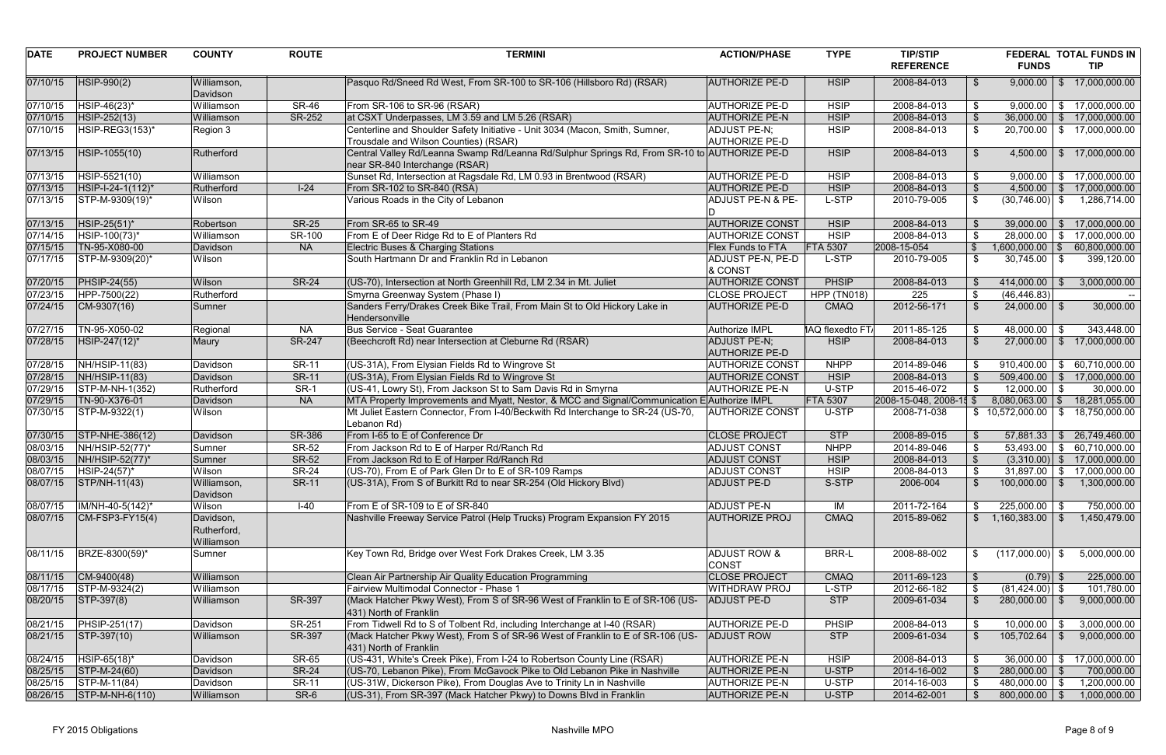| <b>DATE</b> | <b>PROJECT NUMBER</b>    | <b>COUNTY</b>                          | <b>ROUTE</b>  | <b>TERMINI</b>                                                                                                                 | <b>ACTION/PHASE</b>                     | <b>TYPE</b>             | <b>TIP/STIP</b><br><b>REFERENCE</b> | <b>FUNDS</b>              |      | <b>FEDERAL TOTAL FUNDS IN</b><br><b>TIP</b> |
|-------------|--------------------------|----------------------------------------|---------------|--------------------------------------------------------------------------------------------------------------------------------|-----------------------------------------|-------------------------|-------------------------------------|---------------------------|------|---------------------------------------------|
| 07/10/15    | $ HSIP-990(2) $          | Williamson,<br>Davidson                |               | Pasquo Rd/Sneed Rd West, From SR-100 to SR-106 (Hillsboro Rd) (RSAR)                                                           | <b>AUTHORIZE PE-D</b>                   | <b>HSIP</b>             | 2008-84-013                         | $9,000.00$ \$<br>\$       |      | 17,000,000.00                               |
| 07/10/15    | HSIP-46(23)*             | Williamson                             | <b>SR-46</b>  | From SR-106 to SR-96 (RSAR)                                                                                                    | <b>AUTHORIZE PE-D</b>                   | <b>HSIP</b>             | 2008-84-013                         |                           |      | $9,000.00$ \$ 17,000,000.00                 |
| 07/10/15    | $HSIP-252(13)$           | Williamson                             | <b>SR-252</b> | at CSXT Underpasses, LM 3.59 and LM 5.26 (RSAR)                                                                                | <b>AUTHORIZE PE-N</b>                   | <b>HSIP</b>             | 2008-84-013                         | - \$<br>$36,000.00$ \$    |      | 17,000,000.00                               |
| 07/10/15    | HSIP-REG3(153)*          | Region 3                               |               | Centerline and Shoulder Safety Initiative - Unit 3034 (Macon, Smith, Sumner,<br>Trousdale and Wilson Counties) (RSAR)          | ADJUST PE-N;<br><b>AUTHORIZE PE-D</b>   | <b>HSIP</b>             | 2008-84-013                         | \$                        |      | 20,700.00 \$ 17,000,000.00                  |
| 07/13/15    | HSIP-1055(10)            | Rutherford                             |               | Central Valley Rd/Leanna Swamp Rd/Leanna Rd/Sulphur Springs Rd, From SR-10 to AUTHORIZE PE-D<br>near SR-840 Interchange (RSAR) |                                         | <b>HSIP</b>             | 2008-84-013                         | 4,500.00<br>\$.           | - S  | 17,000,000.00                               |
| 07/13/15    | HSIP-5521(10)            | Williamson                             |               | Sunset Rd, Intersection at Ragsdale Rd, LM 0.93 in Brentwood (RSAR)                                                            | <b>AUTHORIZE PE-D</b>                   | <b>HSIP</b>             | 2008-84-013                         |                           |      | $9,000.00$ \$ 17,000,000.00                 |
| 07/13/15    | HSIP-I-24-1(112)*        | Rutherford                             | $I-24$        | From SR-102 to SR-840 (RSA)                                                                                                    | <b>AUTHORIZE PE-D</b>                   | <b>HSIP</b>             | 2008-84-013                         | $4,500.00$ \$             |      | 17,000,000.00                               |
| 07/13/15    | STP-M-9309(19)*          | Wilson                                 |               | Various Roads in the City of Lebanon                                                                                           | <b>ADJUST PE-N &amp; PE-</b>            | L-STP                   | 2010-79-005                         | $(30,746.00)$ \$          |      | 1,286,714.00                                |
| 07/13/15    | HSIP-25(51)*             | Robertson                              | <b>SR-25</b>  | From SR-65 to SR-49                                                                                                            | <b>AUTHORIZE CONST</b>                  | <b>HSIP</b>             | 2008-84-013                         |                           |      | $39,000.00$ \$ 17,000,000.00                |
| 07/14/15    | HSIP-100(73)*            | Williamson                             | SR-100        | From E of Deer Ridge Rd to E of Planters Rd                                                                                    | <b>AUTHORIZE CONST</b>                  | <b>HSIP</b>             | 2008-84-013                         |                           |      | 28,000.00 \$ 17,000,000.00                  |
| 07/15/15    | TN-95-X080-00            | Davidson                               | <b>NA</b>     | Electric Buses & Charging Stations                                                                                             | <b>Flex Funds to FTA</b>                | <b>FTA 5307</b>         | 2008-15-054                         | $1,600,000.00$ \$         |      | 60,800,000.00                               |
| 07/17/15    | STP-M-9309(20)*          | Wilson                                 |               | South Hartmann Dr and Franklin Rd in Lebanon                                                                                   | <b>ADJUST PE-N, PE-D</b><br>& CONST     | L-STP                   | 2010-79-005                         | $30,745.00$ \$            |      | 399,120.00                                  |
| 07/20/15    | $PHSIP-24(55)$           | Wilson                                 | <b>SR-24</b>  | (US-70), Intersection at North Greenhill Rd, LM 2.34 in Mt. Juliet                                                             | <b>AUTHORIZE CONST</b>                  | <b>PHSIP</b>            | 2008-84-013                         | 414,000.00 \\$            |      | 3,000,000.00                                |
| 07/23/15    | HPP-7500(22)             | Rutherford                             |               | Smyrna Greenway System (Phase I)                                                                                               | <b>CLOSE PROJECT</b>                    | <b>HPP (TN018)</b>      | 225                                 | (46, 446.83)              |      |                                             |
| 07/24/15    | $ CM-9307(16) $          | Sumner                                 |               | Sanders Ferry/Drakes Creek Bike Trail, From Main St to Old Hickory Lake in<br>Hendersonville                                   | <b>AUTHORIZE PE-D</b>                   | <b>CMAQ</b>             | 2012-56-171                         | -\$<br>$24,000.00$ \$     |      | 30,000.00                                   |
| 07/27/15    | TN-95-X050-02            | Regional                               | <b>NA</b>     | Bus Service - Seat Guarantee                                                                                                   | <b>Authorize IMPL</b>                   | <b>IAQ flexedto FT/</b> | 2011-85-125                         | 48,000.00                 | - \$ | 343,448.00                                  |
| 07/28/15    | HSIP-247(12)*            | Maury                                  | <b>SR-247</b> | (Beechcroft Rd) near Intersection at Cleburne Rd (RSAR)                                                                        | ADJUST PE-N;<br><b>AUTHORIZE PE-D</b>   | <b>HSIP</b>             | 2008-84-013                         | $27,000.00$ \$            |      | 17,000,000.00                               |
| 07/28/15    | NH/HSIP-11(83)           | Davidson                               | <b>SR-11</b>  | (US-31A), From Elysian Fields Rd to Wingrove St                                                                                | <b>AUTHORIZE CONST</b>                  | <b>NHPP</b>             | 2014-89-046                         |                           |      | $910,400.00$ \$ 60,710,000.00               |
| 07/28/15    | $NH/HSIP-11(83)$         | Davidson                               | <b>SR-11</b>  | (US-31A), From Elysian Fields Rd to Wingrove St                                                                                | <b>AUTHORIZE CONST</b>                  | <b>HSIP</b>             | 2008-84-013                         | $509,400.00$ \$           |      | 17,000,000.00                               |
| 07/29/15    | STP-M-NH-1(352)          | Rutherford                             | SR-1          | (US-41, Lowry St), From Jackson St to Sam Davis Rd in Smyrna                                                                   | <b>AUTHORIZE PE-N</b>                   | U-STP                   | 2015-46-072                         | $12,000.00$ \$            |      | 30,000.00                                   |
| 07/29/15    | TN-90-X376-01            | Davidson                               | <b>NA</b>     | MTA Property Improvements and Myatt, Nestor, & MCC and Signal/Communication E Authorize IMPL                                   |                                         | <b>FTA 5307</b>         | $ 2008-15-048, 2008-1 $ \$          | $8,080,063.00$ \\$        |      | 18,281,055.00                               |
| 07/30/15    | $ STP-M-9322(1) $        | Wilson                                 |               | Mt Juliet Eastern Connector, From I-40/Beckwith Rd Interchange to SR-24 (US-70,<br>Lebanon Rd)                                 | <b>AUTHORIZE CONST</b>                  | U-STP                   | 2008-71-038                         | \$10,572,000.00           | - \$ | 18,750,000.00                               |
| 07/30/15    | STP-NHE-386(12)          | Davidson                               | <b>SR-386</b> | From I-65 to E of Conference Dr                                                                                                | <b>CLOSE PROJECT</b>                    | <b>STP</b>              | 2008-89-015                         |                           |      | $57,881.33$ \$ 26,749,460.00                |
| 08/03/15    | NH/HSIP-52(77)*          | Sumner                                 | <b>SR-52</b>  | From Jackson Rd to E of Harper Rd/Ranch Rd                                                                                     | <b>ADJUST CONST</b>                     | <b>NHPP</b>             | 2014-89-046                         |                           |      | $53,493.00$ \ \$ 60,710,000.00 \            |
| 08/03/15    | NH/HSIP-52(77)*          | Sumner                                 | <b>SR-52</b>  | From Jackson Rd to E of Harper Rd/Ranch Rd                                                                                     | <b>ADJUST CONST</b>                     | <b>HSIP</b>             | 2008-84-013                         |                           |      | $(3,310.00)$ \$ 17,000,000.00               |
|             | 08/07/15   HSIP-24(57)*  | Wilson                                 | <b>SR-24</b>  | (US-70), From E of Park Glen Dr to E of SR-109 Ramps                                                                           | <b>ADJUST CONST</b>                     | <b>HSIP</b>             | 2008-84-013                         |                           |      | 31,897.00 \$ 17,000,000.00                  |
|             | 08/07/15   STP/NH-11(43) | Williamson,<br>Davidson                | <b>SR-11</b>  | (US-31A), From S of Burkitt Rd to near SR-254 (Old Hickory Blvd)                                                               | <b>ADJUST PE-D</b>                      | S-STP                   | 2006-004                            | \$<br>$100,000.00$ \$     |      | 1,300,000.00                                |
| 08/07/15    | IM/NH-40-5(142)*         | Wilson                                 | $I-40$        | From E of SR-109 to E of SR-840                                                                                                | <b>ADJUST PE-N</b>                      | IM                      | 2011-72-164                         | $225,000.00$ \$           |      | 750,000.00                                  |
| 08/07/15    | $ CM-FSP3-FY15(4) $      | Davidson,<br>Rutherford,<br>Williamson |               | Nashville Freeway Service Patrol (Help Trucks) Program Expansion FY 2015                                                       | <b>AUTHORIZE PROJ</b>                   | <b>CMAQ</b>             | 2015-89-062                         | $1,160,383.00$ \ \$<br>\$ |      | 1,450,479.00                                |
| 08/11/15    | BRZE-8300(59)*           | Sumner                                 |               | Key Town Rd, Bridge over West Fork Drakes Creek, LM 3.35                                                                       | <b>ADJUST ROW &amp;</b><br><b>CONST</b> | <b>BRR-L</b>            | 2008-88-002                         | $(117,000.00)$ \$         |      | 5,000,000.00                                |
| 08/11/15    | $ CM-9400(48) $          | Williamson                             |               | Clean Air Partnership Air Quality Education Programming                                                                        | <b>CLOSE PROJECT</b>                    | <b>CMAQ</b>             | 2011-69-123                         | $(0.79)$ \$               |      | 225,000.00                                  |
| 08/17/15    | STP-M-9324(2)            | Williamson                             |               | Fairview Multimodal Connector - Phase 1                                                                                        | <b>WITHDRAW PROJ</b>                    | L-STP                   | 2012-66-182                         | $(81, 424.00)$ \$         |      | 101,780.00                                  |
| 08/20/15    | $ STP-397(8) $           | Williamson                             | <b>SR-397</b> | (Mack Hatcher Pkwy West), From S of SR-96 West of Franklin to E of SR-106 (US-<br>431) North of Franklin                       | ADJUST PE-D                             | <b>STP</b>              | 2009-61-034                         | $280,000.00$ \$           |      | 9,000,000.00                                |
| 08/21/15    | $PHSIP-251(17)$          | Davidson                               | SR-251        | From Tidwell Rd to S of Tolbent Rd, including Interchange at I-40 (RSAR)                                                       | <b>AUTHORIZE PE-D</b>                   | <b>PHSIP</b>            | 2008-84-013                         | $10,000.00$   \$          |      | 3,000,000.00                                |
| 08/21/15    | $ STP-397(10) $          | Williamson                             | <b>SR-397</b> | (Mack Hatcher Pkwy West), From S of SR-96 West of Franklin to E of SR-106 (US-<br>431) North of Franklin                       | <b>ADJUST ROW</b>                       | <b>STP</b>              | 2009-61-034                         | $105,702.64$ \ \ \$       |      | 9,000,000.00                                |
| 08/24/15    | HSIP-65(18)*             | Davidson                               | <b>SR-65</b>  | (US-431, White's Creek Pike), From I-24 to Robertson County Line (RSAR)                                                        | <b>AUTHORIZE PE-N</b>                   | <b>HSIP</b>             | 2008-84-013                         | $36,000.00$ \$            |      | 17,000,000.00                               |
| 08/25/15    | $\vert$ STP-M-24(60)     | Davidson                               | <b>SR-24</b>  | (US-70, Lebanon Pike), From McGavock Pike to Old Lebanon Pike in Nashville                                                     | <b>AUTHORIZE PE-N</b>                   | U-STP                   | 2014-16-002                         | $280,000.00$ \$           |      | 700,000.00                                  |
| 08/25/15    | $\vert$ STP-M-11(84)     | Davidson                               | <b>SR-11</b>  | (US-31W, Dickerson Pike), From Douglas Ave to Trinity Ln in Nashville                                                          | <b>AUTHORIZE PE-N</b>                   | U-STP                   | 2014-16-003                         | $480,000.00$ \$           |      | 1,200,000.00                                |
| 08/26/15    | $ STP-M-NH-6(110) $      | Williamson                             | SR-6          | (US-31), From SR-397 (Mack Hatcher Pkwy) to Downs Blvd in Franklin                                                             | <b>AUTHORIZE PE-N</b>                   | U-STP                   | 2014-62-001                         | $800,000.00$ \$<br>-9     |      | 1,000,000.00                                |